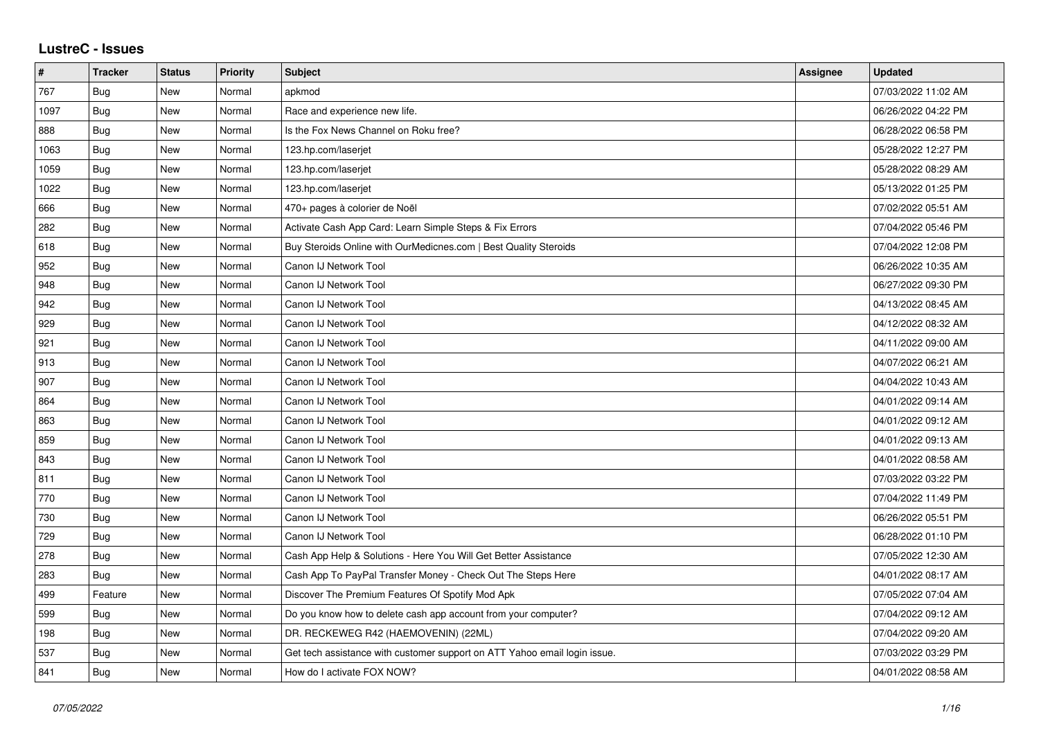## **LustreC - Issues**

| $\pmb{\#}$ | <b>Tracker</b> | <b>Status</b> | <b>Priority</b> | <b>Subject</b>                                                            | Assignee | <b>Updated</b>      |
|------------|----------------|---------------|-----------------|---------------------------------------------------------------------------|----------|---------------------|
| 767        | <b>Bug</b>     | New           | Normal          | apkmod                                                                    |          | 07/03/2022 11:02 AM |
| 1097       | <b>Bug</b>     | New           | Normal          | Race and experience new life.                                             |          | 06/26/2022 04:22 PM |
| 888        | Bug            | New           | Normal          | Is the Fox News Channel on Roku free?                                     |          | 06/28/2022 06:58 PM |
| 1063       | Bug            | New           | Normal          | 123.hp.com/laserjet                                                       |          | 05/28/2022 12:27 PM |
| 1059       | Bug            | New           | Normal          | 123.hp.com/laserjet                                                       |          | 05/28/2022 08:29 AM |
| 1022       | <b>Bug</b>     | New           | Normal          | 123.hp.com/laserjet                                                       |          | 05/13/2022 01:25 PM |
| 666        | <b>Bug</b>     | New           | Normal          | 470+ pages à colorier de Noël                                             |          | 07/02/2022 05:51 AM |
| 282        | <b>Bug</b>     | <b>New</b>    | Normal          | Activate Cash App Card: Learn Simple Steps & Fix Errors                   |          | 07/04/2022 05:46 PM |
| 618        | <b>Bug</b>     | New           | Normal          | Buy Steroids Online with OurMedicnes.com   Best Quality Steroids          |          | 07/04/2022 12:08 PM |
| 952        | Bug            | <b>New</b>    | Normal          | Canon IJ Network Tool                                                     |          | 06/26/2022 10:35 AM |
| 948        | Bug            | <b>New</b>    | Normal          | Canon IJ Network Tool                                                     |          | 06/27/2022 09:30 PM |
| 942        | Bug            | New           | Normal          | Canon IJ Network Tool                                                     |          | 04/13/2022 08:45 AM |
| 929        | Bug            | <b>New</b>    | Normal          | Canon IJ Network Tool                                                     |          | 04/12/2022 08:32 AM |
| 921        | Bug            | New           | Normal          | Canon IJ Network Tool                                                     |          | 04/11/2022 09:00 AM |
| 913        | Bug            | New           | Normal          | Canon IJ Network Tool                                                     |          | 04/07/2022 06:21 AM |
| 907        | Bug            | New           | Normal          | Canon IJ Network Tool                                                     |          | 04/04/2022 10:43 AM |
| 864        | Bug            | <b>New</b>    | Normal          | Canon IJ Network Tool                                                     |          | 04/01/2022 09:14 AM |
| 863        | Bug            | New           | Normal          | Canon IJ Network Tool                                                     |          | 04/01/2022 09:12 AM |
| 859        | <b>Bug</b>     | <b>New</b>    | Normal          | Canon IJ Network Tool                                                     |          | 04/01/2022 09:13 AM |
| 843        | Bug            | New           | Normal          | Canon IJ Network Tool                                                     |          | 04/01/2022 08:58 AM |
| 811        | Bug            | New           | Normal          | Canon IJ Network Tool                                                     |          | 07/03/2022 03:22 PM |
| 770        | Bug            | <b>New</b>    | Normal          | Canon IJ Network Tool                                                     |          | 07/04/2022 11:49 PM |
| 730        | <b>Bug</b>     | New           | Normal          | Canon IJ Network Tool                                                     |          | 06/26/2022 05:51 PM |
| 729        | Bug            | New           | Normal          | Canon IJ Network Tool                                                     |          | 06/28/2022 01:10 PM |
| 278        | Bug            | <b>New</b>    | Normal          | Cash App Help & Solutions - Here You Will Get Better Assistance           |          | 07/05/2022 12:30 AM |
| 283        | Bug            | New           | Normal          | Cash App To PayPal Transfer Money - Check Out The Steps Here              |          | 04/01/2022 08:17 AM |
| 499        | Feature        | New           | Normal          | Discover The Premium Features Of Spotify Mod Apk                          |          | 07/05/2022 07:04 AM |
| 599        | Bug            | New           | Normal          | Do you know how to delete cash app account from your computer?            |          | 07/04/2022 09:12 AM |
| 198        | Bug            | New           | Normal          | DR. RECKEWEG R42 (HAEMOVENIN) (22ML)                                      |          | 07/04/2022 09:20 AM |
| 537        | Bug            | New           | Normal          | Get tech assistance with customer support on ATT Yahoo email login issue. |          | 07/03/2022 03:29 PM |
| 841        | Bug            | New           | Normal          | How do I activate FOX NOW?                                                |          | 04/01/2022 08:58 AM |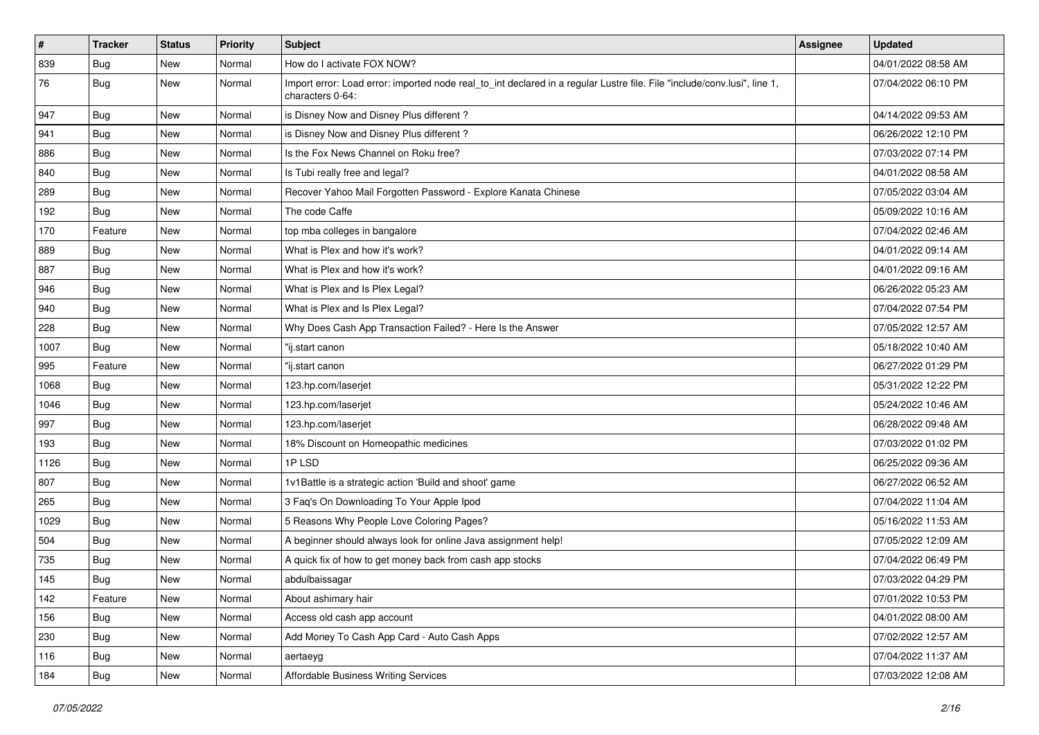| $\vert$ # | <b>Tracker</b> | <b>Status</b> | <b>Priority</b> | Subject                                                                                                                                      | Assignee | <b>Updated</b>      |
|-----------|----------------|---------------|-----------------|----------------------------------------------------------------------------------------------------------------------------------------------|----------|---------------------|
| 839       | <b>Bug</b>     | New           | Normal          | How do I activate FOX NOW?                                                                                                                   |          | 04/01/2022 08:58 AM |
| 76        | <b>Bug</b>     | New           | Normal          | Import error: Load error: imported node real_to_int declared in a regular Lustre file. File "include/conv.lusi", line 1,<br>characters 0-64: |          | 07/04/2022 06:10 PM |
| 947       | <b>Bug</b>     | <b>New</b>    | Normal          | is Disney Now and Disney Plus different?                                                                                                     |          | 04/14/2022 09:53 AM |
| 941       | Bug            | <b>New</b>    | Normal          | is Disney Now and Disney Plus different?                                                                                                     |          | 06/26/2022 12:10 PM |
| 886       | <b>Bug</b>     | New           | Normal          | Is the Fox News Channel on Roku free?                                                                                                        |          | 07/03/2022 07:14 PM |
| 840       | Bug            | <b>New</b>    | Normal          | Is Tubi really free and legal?                                                                                                               |          | 04/01/2022 08:58 AM |
| 289       | Bug            | <b>New</b>    | Normal          | Recover Yahoo Mail Forgotten Password - Explore Kanata Chinese                                                                               |          | 07/05/2022 03:04 AM |
| 192       | Bug            | New           | Normal          | The code Caffe                                                                                                                               |          | 05/09/2022 10:16 AM |
| 170       | Feature        | <b>New</b>    | Normal          | top mba colleges in bangalore                                                                                                                |          | 07/04/2022 02:46 AM |
| 889       | Bug            | New           | Normal          | What is Plex and how it's work?                                                                                                              |          | 04/01/2022 09:14 AM |
| 887       | Bug            | New           | Normal          | What is Plex and how it's work?                                                                                                              |          | 04/01/2022 09:16 AM |
| 946       | Bug            | <b>New</b>    | Normal          | What is Plex and Is Plex Legal?                                                                                                              |          | 06/26/2022 05:23 AM |
| 940       | <b>Bug</b>     | New           | Normal          | What is Plex and Is Plex Legal?                                                                                                              |          | 07/04/2022 07:54 PM |
| 228       | Bug            | <b>New</b>    | Normal          | Why Does Cash App Transaction Failed? - Here Is the Answer                                                                                   |          | 07/05/2022 12:57 AM |
| 1007      | <b>Bug</b>     | New           | Normal          | "ij.start canon                                                                                                                              |          | 05/18/2022 10:40 AM |
| 995       | Feature        | New           | Normal          | "ij.start canon                                                                                                                              |          | 06/27/2022 01:29 PM |
| 1068      | Bug            | <b>New</b>    | Normal          | 123.hp.com/laserjet                                                                                                                          |          | 05/31/2022 12:22 PM |
| 1046      | <b>Bug</b>     | New           | Normal          | 123.hp.com/laserjet                                                                                                                          |          | 05/24/2022 10:46 AM |
| 997       | Bug            | <b>New</b>    | Normal          | 123.hp.com/laserjet                                                                                                                          |          | 06/28/2022 09:48 AM |
| 193       | Bug            | <b>New</b>    | Normal          | 18% Discount on Homeopathic medicines                                                                                                        |          | 07/03/2022 01:02 PM |
| 1126      | <b>Bug</b>     | <b>New</b>    | Normal          | 1PLSD                                                                                                                                        |          | 06/25/2022 09:36 AM |
| 807       | <b>Bug</b>     | <b>New</b>    | Normal          | 1v1Battle is a strategic action 'Build and shoot' game                                                                                       |          | 06/27/2022 06:52 AM |
| 265       | <b>Bug</b>     | New           | Normal          | 3 Faq's On Downloading To Your Apple Ipod                                                                                                    |          | 07/04/2022 11:04 AM |
| 1029      | Bug            | New           | Normal          | 5 Reasons Why People Love Coloring Pages?                                                                                                    |          | 05/16/2022 11:53 AM |
| 504       | <b>Bug</b>     | <b>New</b>    | Normal          | A beginner should always look for online Java assignment help!                                                                               |          | 07/05/2022 12:09 AM |
| 735       | <b>Bug</b>     | New           | Normal          | A quick fix of how to get money back from cash app stocks                                                                                    |          | 07/04/2022 06:49 PM |
| 145       | <b>Bug</b>     | New           | Normal          | abdulbaissagar                                                                                                                               |          | 07/03/2022 04:29 PM |
| 142       | Feature        | New           | Normal          | About ashimary hair                                                                                                                          |          | 07/01/2022 10:53 PM |
| 156       | Bug            | New           | Normal          | Access old cash app account                                                                                                                  |          | 04/01/2022 08:00 AM |
| 230       | <b>Bug</b>     | New           | Normal          | Add Money To Cash App Card - Auto Cash Apps                                                                                                  |          | 07/02/2022 12:57 AM |
| 116       | Bug            | New           | Normal          | aertaeyg                                                                                                                                     |          | 07/04/2022 11:37 AM |
| 184       | <b>Bug</b>     | New           | Normal          | Affordable Business Writing Services                                                                                                         |          | 07/03/2022 12:08 AM |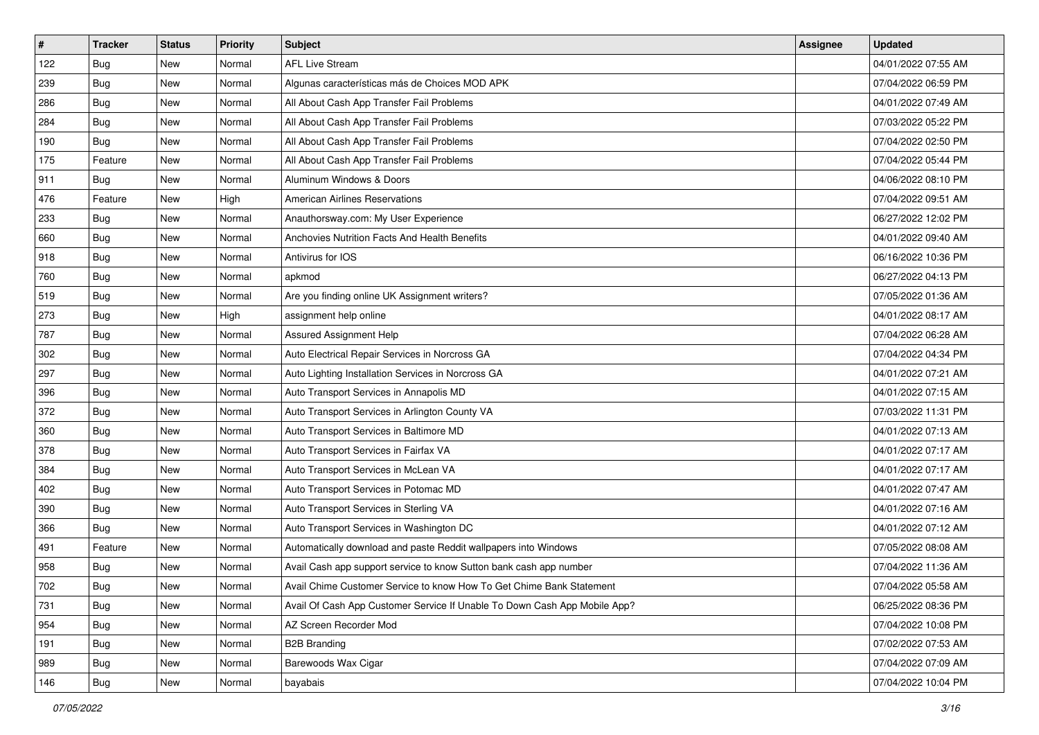| $\vert$ # | <b>Tracker</b> | <b>Status</b> | <b>Priority</b> | Subject                                                                   | Assignee | <b>Updated</b>      |
|-----------|----------------|---------------|-----------------|---------------------------------------------------------------------------|----------|---------------------|
| 122       | <b>Bug</b>     | New           | Normal          | <b>AFL Live Stream</b>                                                    |          | 04/01/2022 07:55 AM |
| 239       | <b>Bug</b>     | New           | Normal          | Algunas características más de Choices MOD APK                            |          | 07/04/2022 06:59 PM |
| 286       | Bug            | New           | Normal          | All About Cash App Transfer Fail Problems                                 |          | 04/01/2022 07:49 AM |
| 284       | Bug            | New           | Normal          | All About Cash App Transfer Fail Problems                                 |          | 07/03/2022 05:22 PM |
| 190       | <b>Bug</b>     | New           | Normal          | All About Cash App Transfer Fail Problems                                 |          | 07/04/2022 02:50 PM |
| 175       | Feature        | New           | Normal          | All About Cash App Transfer Fail Problems                                 |          | 07/04/2022 05:44 PM |
| 911       | Bug            | New           | Normal          | Aluminum Windows & Doors                                                  |          | 04/06/2022 08:10 PM |
| 476       | Feature        | New           | High            | <b>American Airlines Reservations</b>                                     |          | 07/04/2022 09:51 AM |
| 233       | Bug            | New           | Normal          | Anauthorsway.com: My User Experience                                      |          | 06/27/2022 12:02 PM |
| 660       | <b>Bug</b>     | New           | Normal          | Anchovies Nutrition Facts And Health Benefits                             |          | 04/01/2022 09:40 AM |
| 918       | <b>Bug</b>     | New           | Normal          | Antivirus for IOS                                                         |          | 06/16/2022 10:36 PM |
| 760       | Bug            | New           | Normal          | apkmod                                                                    |          | 06/27/2022 04:13 PM |
| 519       | <b>Bug</b>     | New           | Normal          | Are you finding online UK Assignment writers?                             |          | 07/05/2022 01:36 AM |
| 273       | Bug            | New           | High            | assignment help online                                                    |          | 04/01/2022 08:17 AM |
| 787       | <b>Bug</b>     | New           | Normal          | <b>Assured Assignment Help</b>                                            |          | 07/04/2022 06:28 AM |
| 302       | Bug            | New           | Normal          | Auto Electrical Repair Services in Norcross GA                            |          | 07/04/2022 04:34 PM |
| 297       | <b>Bug</b>     | New           | Normal          | Auto Lighting Installation Services in Norcross GA                        |          | 04/01/2022 07:21 AM |
| 396       | Bug            | New           | Normal          | Auto Transport Services in Annapolis MD                                   |          | 04/01/2022 07:15 AM |
| 372       | <b>Bug</b>     | New           | Normal          | Auto Transport Services in Arlington County VA                            |          | 07/03/2022 11:31 PM |
| 360       | Bug            | New           | Normal          | Auto Transport Services in Baltimore MD                                   |          | 04/01/2022 07:13 AM |
| 378       | Bug            | New           | Normal          | Auto Transport Services in Fairfax VA                                     |          | 04/01/2022 07:17 AM |
| 384       | <b>Bug</b>     | New           | Normal          | Auto Transport Services in McLean VA                                      |          | 04/01/2022 07:17 AM |
| 402       | Bug            | New           | Normal          | Auto Transport Services in Potomac MD                                     |          | 04/01/2022 07:47 AM |
| 390       | <b>Bug</b>     | New           | Normal          | Auto Transport Services in Sterling VA                                    |          | 04/01/2022 07:16 AM |
| 366       | <b>Bug</b>     | New           | Normal          | Auto Transport Services in Washington DC                                  |          | 04/01/2022 07:12 AM |
| 491       | Feature        | New           | Normal          | Automatically download and paste Reddit wallpapers into Windows           |          | 07/05/2022 08:08 AM |
| 958       | <b>Bug</b>     | New           | Normal          | Avail Cash app support service to know Sutton bank cash app number        |          | 07/04/2022 11:36 AM |
| 702       | <b>Bug</b>     | New           | Normal          | Avail Chime Customer Service to know How To Get Chime Bank Statement      |          | 07/04/2022 05:58 AM |
| 731       | <b>Bug</b>     | New           | Normal          | Avail Of Cash App Customer Service If Unable To Down Cash App Mobile App? |          | 06/25/2022 08:36 PM |
| 954       | Bug            | New           | Normal          | AZ Screen Recorder Mod                                                    |          | 07/04/2022 10:08 PM |
| 191       | <b>Bug</b>     | New           | Normal          | <b>B2B Branding</b>                                                       |          | 07/02/2022 07:53 AM |
| 989       | <b>Bug</b>     | New           | Normal          | Barewoods Wax Cigar                                                       |          | 07/04/2022 07:09 AM |
| 146       | Bug            | New           | Normal          | bayabais                                                                  |          | 07/04/2022 10:04 PM |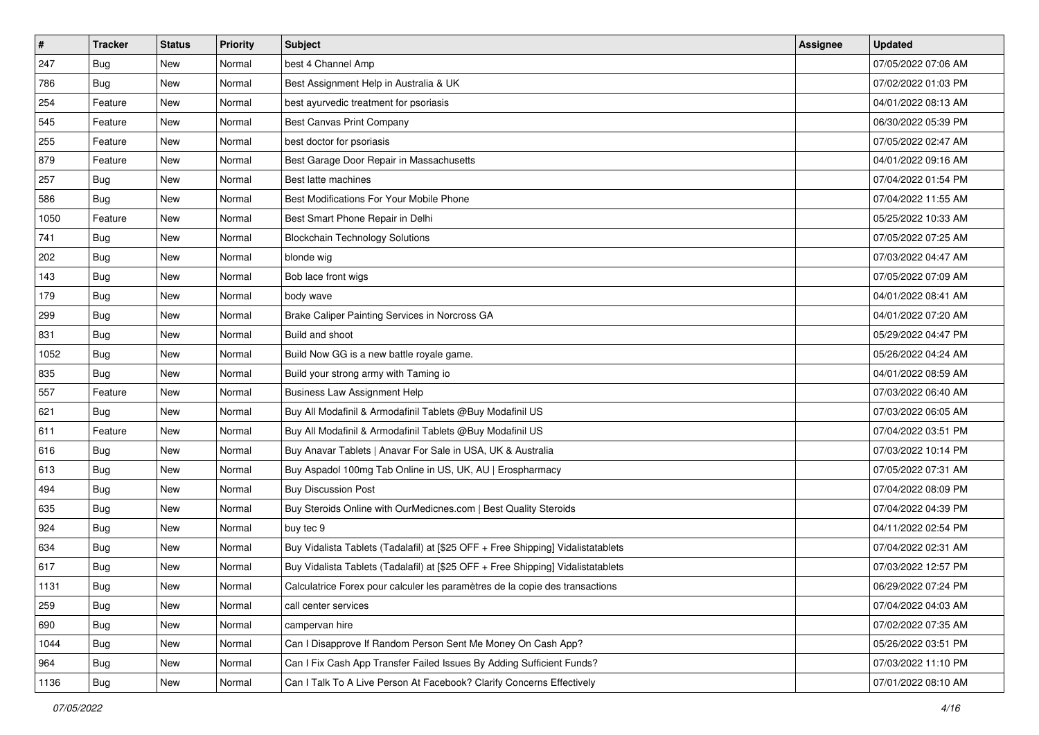| $\vert$ # | <b>Tracker</b> | <b>Status</b> | <b>Priority</b> | Subject                                                                          | Assignee | <b>Updated</b>      |
|-----------|----------------|---------------|-----------------|----------------------------------------------------------------------------------|----------|---------------------|
| 247       | <b>Bug</b>     | New           | Normal          | best 4 Channel Amp                                                               |          | 07/05/2022 07:06 AM |
| 786       | <b>Bug</b>     | New           | Normal          | Best Assignment Help in Australia & UK                                           |          | 07/02/2022 01:03 PM |
| 254       | Feature        | New           | Normal          | best ayurvedic treatment for psoriasis                                           |          | 04/01/2022 08:13 AM |
| 545       | Feature        | New           | Normal          | <b>Best Canvas Print Company</b>                                                 |          | 06/30/2022 05:39 PM |
| 255       | Feature        | New           | Normal          | best doctor for psoriasis                                                        |          | 07/05/2022 02:47 AM |
| 879       | Feature        | New           | Normal          | Best Garage Door Repair in Massachusetts                                         |          | 04/01/2022 09:16 AM |
| 257       | Bug            | New           | Normal          | Best latte machines                                                              |          | 07/04/2022 01:54 PM |
| 586       | Bug            | New           | Normal          | Best Modifications For Your Mobile Phone                                         |          | 07/04/2022 11:55 AM |
| 1050      | Feature        | New           | Normal          | Best Smart Phone Repair in Delhi                                                 |          | 05/25/2022 10:33 AM |
| 741       | Bug            | New           | Normal          | <b>Blockchain Technology Solutions</b>                                           |          | 07/05/2022 07:25 AM |
| 202       | <b>Bug</b>     | New           | Normal          | blonde wig                                                                       |          | 07/03/2022 04:47 AM |
| 143       | Bug            | New           | Normal          | Bob lace front wigs                                                              |          | 07/05/2022 07:09 AM |
| 179       | Bug            | New           | Normal          | body wave                                                                        |          | 04/01/2022 08:41 AM |
| 299       | <b>Bug</b>     | New           | Normal          | Brake Caliper Painting Services in Norcross GA                                   |          | 04/01/2022 07:20 AM |
| 831       | <b>Bug</b>     | New           | Normal          | Build and shoot                                                                  |          | 05/29/2022 04:47 PM |
| 1052      | Bug            | New           | Normal          | Build Now GG is a new battle royale game.                                        |          | 05/26/2022 04:24 AM |
| 835       | Bug            | New           | Normal          | Build your strong army with Taming io                                            |          | 04/01/2022 08:59 AM |
| 557       | Feature        | New           | Normal          | <b>Business Law Assignment Help</b>                                              |          | 07/03/2022 06:40 AM |
| 621       | Bug            | New           | Normal          | Buy All Modafinil & Armodafinil Tablets @Buy Modafinil US                        |          | 07/03/2022 06:05 AM |
| 611       | Feature        | New           | Normal          | Buy All Modafinil & Armodafinil Tablets @Buy Modafinil US                        |          | 07/04/2022 03:51 PM |
| 616       | <b>Bug</b>     | New           | Normal          | Buy Anavar Tablets   Anavar For Sale in USA, UK & Australia                      |          | 07/03/2022 10:14 PM |
| 613       | Bug            | New           | Normal          | Buy Aspadol 100mg Tab Online in US, UK, AU   Erospharmacy                        |          | 07/05/2022 07:31 AM |
| 494       | Bug            | New           | Normal          | <b>Buy Discussion Post</b>                                                       |          | 07/04/2022 08:09 PM |
| 635       | <b>Bug</b>     | New           | Normal          | Buy Steroids Online with OurMedicnes.com   Best Quality Steroids                 |          | 07/04/2022 04:39 PM |
| 924       | Bug            | New           | Normal          | buy tec 9                                                                        |          | 04/11/2022 02:54 PM |
| 634       | Bug            | New           | Normal          | Buy Vidalista Tablets (Tadalafil) at [\$25 OFF + Free Shipping] Vidalistatablets |          | 07/04/2022 02:31 AM |
| 617       | <b>Bug</b>     | New           | Normal          | Buy Vidalista Tablets (Tadalafil) at [\$25 OFF + Free Shipping] Vidalistatablets |          | 07/03/2022 12:57 PM |
| 1131      | Bug            | New           | Normal          | Calculatrice Forex pour calculer les paramètres de la copie des transactions     |          | 06/29/2022 07:24 PM |
| 259       | <b>Bug</b>     | New           | Normal          | call center services                                                             |          | 07/04/2022 04:03 AM |
| 690       | Bug            | New           | Normal          | campervan hire                                                                   |          | 07/02/2022 07:35 AM |
| 1044      | <b>Bug</b>     | New           | Normal          | Can I Disapprove If Random Person Sent Me Money On Cash App?                     |          | 05/26/2022 03:51 PM |
| 964       | Bug            | New           | Normal          | Can I Fix Cash App Transfer Failed Issues By Adding Sufficient Funds?            |          | 07/03/2022 11:10 PM |
| 1136      | <b>Bug</b>     | New           | Normal          | Can I Talk To A Live Person At Facebook? Clarify Concerns Effectively            |          | 07/01/2022 08:10 AM |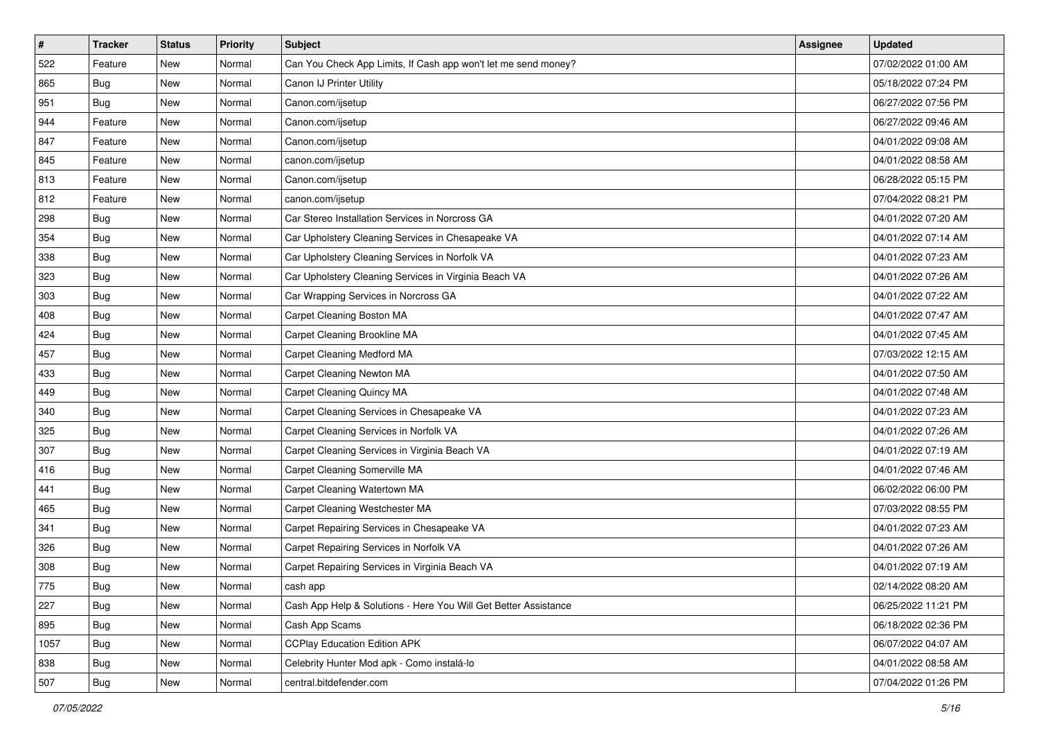| $\vert$ # | <b>Tracker</b> | <b>Status</b> | <b>Priority</b> | <b>Subject</b>                                                  | Assignee | <b>Updated</b>      |
|-----------|----------------|---------------|-----------------|-----------------------------------------------------------------|----------|---------------------|
| 522       | Feature        | New           | Normal          | Can You Check App Limits, If Cash app won't let me send money?  |          | 07/02/2022 01:00 AM |
| 865       | Bug            | New           | Normal          | Canon IJ Printer Utility                                        |          | 05/18/2022 07:24 PM |
| 951       | Bug            | New           | Normal          | Canon.com/ijsetup                                               |          | 06/27/2022 07:56 PM |
| 944       | Feature        | New           | Normal          | Canon.com/ijsetup                                               |          | 06/27/2022 09:46 AM |
| 847       | Feature        | New           | Normal          | Canon.com/ijsetup                                               |          | 04/01/2022 09:08 AM |
| 845       | Feature        | New           | Normal          | canon.com/ijsetup                                               |          | 04/01/2022 08:58 AM |
| 813       | Feature        | New           | Normal          | Canon.com/ijsetup                                               |          | 06/28/2022 05:15 PM |
| 812       | Feature        | New           | Normal          | canon.com/ijsetup                                               |          | 07/04/2022 08:21 PM |
| 298       | <b>Bug</b>     | New           | Normal          | Car Stereo Installation Services in Norcross GA                 |          | 04/01/2022 07:20 AM |
| 354       | Bug            | New           | Normal          | Car Upholstery Cleaning Services in Chesapeake VA               |          | 04/01/2022 07:14 AM |
| 338       | <b>Bug</b>     | New           | Normal          | Car Upholstery Cleaning Services in Norfolk VA                  |          | 04/01/2022 07:23 AM |
| 323       | <b>Bug</b>     | New           | Normal          | Car Upholstery Cleaning Services in Virginia Beach VA           |          | 04/01/2022 07:26 AM |
| 303       | Bug            | New           | Normal          | Car Wrapping Services in Norcross GA                            |          | 04/01/2022 07:22 AM |
| 408       | <b>Bug</b>     | New           | Normal          | Carpet Cleaning Boston MA                                       |          | 04/01/2022 07:47 AM |
| 424       | <b>Bug</b>     | New           | Normal          | Carpet Cleaning Brookline MA                                    |          | 04/01/2022 07:45 AM |
| 457       | Bug            | New           | Normal          | Carpet Cleaning Medford MA                                      |          | 07/03/2022 12:15 AM |
| 433       | <b>Bug</b>     | New           | Normal          | Carpet Cleaning Newton MA                                       |          | 04/01/2022 07:50 AM |
| 449       | Bug            | New           | Normal          | Carpet Cleaning Quincy MA                                       |          | 04/01/2022 07:48 AM |
| 340       | <b>Bug</b>     | New           | Normal          | Carpet Cleaning Services in Chesapeake VA                       |          | 04/01/2022 07:23 AM |
| 325       | Bug            | New           | Normal          | Carpet Cleaning Services in Norfolk VA                          |          | 04/01/2022 07:26 AM |
| 307       | <b>Bug</b>     | New           | Normal          | Carpet Cleaning Services in Virginia Beach VA                   |          | 04/01/2022 07:19 AM |
| 416       | <b>Bug</b>     | New           | Normal          | Carpet Cleaning Somerville MA                                   |          | 04/01/2022 07:46 AM |
| 441       | Bug            | New           | Normal          | Carpet Cleaning Watertown MA                                    |          | 06/02/2022 06:00 PM |
| 465       | <b>Bug</b>     | New           | Normal          | Carpet Cleaning Westchester MA                                  |          | 07/03/2022 08:55 PM |
| 341       | <b>Bug</b>     | New           | Normal          | Carpet Repairing Services in Chesapeake VA                      |          | 04/01/2022 07:23 AM |
| 326       | Bug            | New           | Normal          | Carpet Repairing Services in Norfolk VA                         |          | 04/01/2022 07:26 AM |
| 308       | <b>Bug</b>     | New           | Normal          | Carpet Repairing Services in Virginia Beach VA                  |          | 04/01/2022 07:19 AM |
| 775       | Bug            | New           | Normal          | cash app                                                        |          | 02/14/2022 08:20 AM |
| 227       | Bug            | New           | Normal          | Cash App Help & Solutions - Here You Will Get Better Assistance |          | 06/25/2022 11:21 PM |
| 895       | <b>Bug</b>     | New           | Normal          | Cash App Scams                                                  |          | 06/18/2022 02:36 PM |
| 1057      | Bug            | New           | Normal          | <b>CCPlay Education Edition APK</b>                             |          | 06/07/2022 04:07 AM |
| 838       | <b>Bug</b>     | New           | Normal          | Celebrity Hunter Mod apk - Como instalá-lo                      |          | 04/01/2022 08:58 AM |
| 507       | <b>Bug</b>     | New           | Normal          | central.bitdefender.com                                         |          | 07/04/2022 01:26 PM |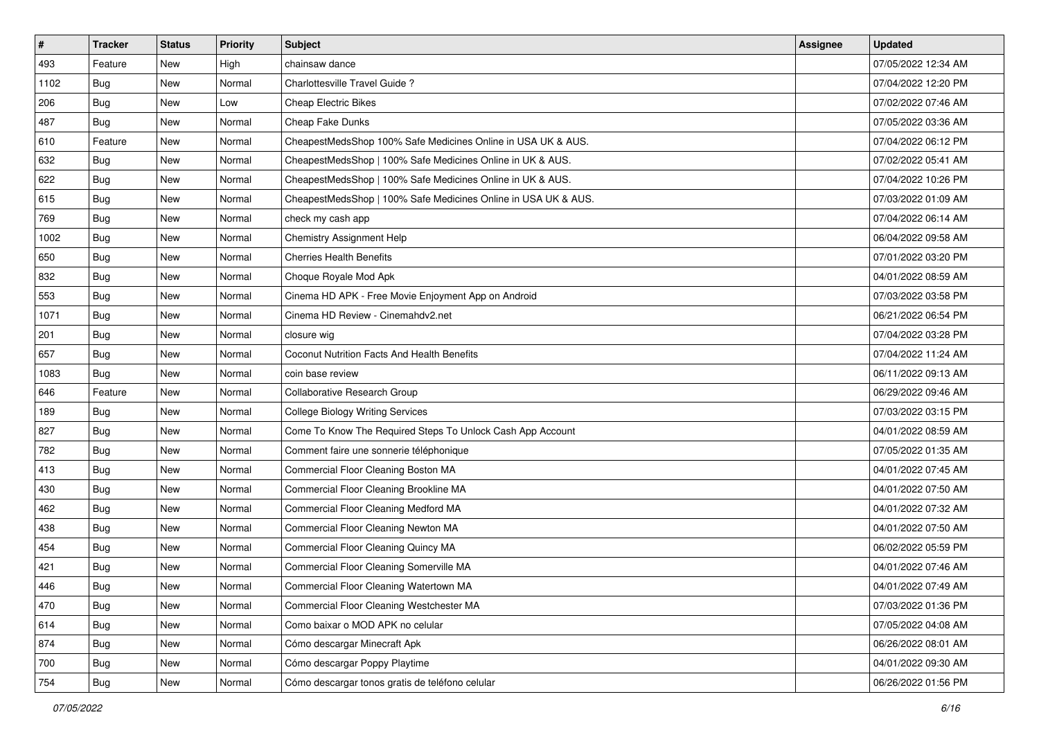| $\vert$ # | <b>Tracker</b> | <b>Status</b> | <b>Priority</b> | Subject                                                        | Assignee | <b>Updated</b>      |
|-----------|----------------|---------------|-----------------|----------------------------------------------------------------|----------|---------------------|
| 493       | Feature        | New           | High            | chainsaw dance                                                 |          | 07/05/2022 12:34 AM |
| 1102      | <b>Bug</b>     | New           | Normal          | Charlottesville Travel Guide?                                  |          | 07/04/2022 12:20 PM |
| 206       | Bug            | New           | Low             | <b>Cheap Electric Bikes</b>                                    |          | 07/02/2022 07:46 AM |
| 487       | Bug            | New           | Normal          | Cheap Fake Dunks                                               |          | 07/05/2022 03:36 AM |
| 610       | Feature        | New           | Normal          | CheapestMedsShop 100% Safe Medicines Online in USA UK & AUS.   |          | 07/04/2022 06:12 PM |
| 632       | <b>Bug</b>     | New           | Normal          | CheapestMedsShop   100% Safe Medicines Online in UK & AUS.     |          | 07/02/2022 05:41 AM |
| 622       | Bug            | New           | Normal          | CheapestMedsShop   100% Safe Medicines Online in UK & AUS.     |          | 07/04/2022 10:26 PM |
| 615       | Bug            | New           | Normal          | CheapestMedsShop   100% Safe Medicines Online in USA UK & AUS. |          | 07/03/2022 01:09 AM |
| 769       | Bug            | New           | Normal          | check my cash app                                              |          | 07/04/2022 06:14 AM |
| 1002      | Bug            | New           | Normal          | Chemistry Assignment Help                                      |          | 06/04/2022 09:58 AM |
| 650       | <b>Bug</b>     | New           | Normal          | <b>Cherries Health Benefits</b>                                |          | 07/01/2022 03:20 PM |
| 832       | Bug            | New           | Normal          | Choque Royale Mod Apk                                          |          | 04/01/2022 08:59 AM |
| 553       | Bug            | New           | Normal          | Cinema HD APK - Free Movie Enjoyment App on Android            |          | 07/03/2022 03:58 PM |
| 1071      | <b>Bug</b>     | New           | Normal          | Cinema HD Review - Cinemahdy2.net                              |          | 06/21/2022 06:54 PM |
| 201       | Bug            | New           | Normal          | closure wig                                                    |          | 07/04/2022 03:28 PM |
| 657       | Bug            | New           | Normal          | Coconut Nutrition Facts And Health Benefits                    |          | 07/04/2022 11:24 AM |
| 1083      | <b>Bug</b>     | New           | Normal          | coin base review                                               |          | 06/11/2022 09:13 AM |
| 646       | Feature        | New           | Normal          | Collaborative Research Group                                   |          | 06/29/2022 09:46 AM |
| 189       | Bug            | New           | Normal          | <b>College Biology Writing Services</b>                        |          | 07/03/2022 03:15 PM |
| 827       | Bug            | New           | Normal          | Come To Know The Required Steps To Unlock Cash App Account     |          | 04/01/2022 08:59 AM |
| 782       | <b>Bug</b>     | New           | Normal          | Comment faire une sonnerie téléphonique                        |          | 07/05/2022 01:35 AM |
| 413       | Bug            | New           | Normal          | Commercial Floor Cleaning Boston MA                            |          | 04/01/2022 07:45 AM |
| 430       | Bug            | New           | Normal          | Commercial Floor Cleaning Brookline MA                         |          | 04/01/2022 07:50 AM |
| 462       | <b>Bug</b>     | New           | Normal          | Commercial Floor Cleaning Medford MA                           |          | 04/01/2022 07:32 AM |
| 438       | Bug            | New           | Normal          | Commercial Floor Cleaning Newton MA                            |          | 04/01/2022 07:50 AM |
| 454       | Bug            | New           | Normal          | Commercial Floor Cleaning Quincy MA                            |          | 06/02/2022 05:59 PM |
| 421       | <b>Bug</b>     | New           | Normal          | Commercial Floor Cleaning Somerville MA                        |          | 04/01/2022 07:46 AM |
| 446       | I Bug          | New           | Normal          | Commercial Floor Cleaning Watertown MA                         |          | 04/01/2022 07:49 AM |
| 470       | <b>Bug</b>     | New           | Normal          | Commercial Floor Cleaning Westchester MA                       |          | 07/03/2022 01:36 PM |
| 614       | Bug            | New           | Normal          | Como baixar o MOD APK no celular                               |          | 07/05/2022 04:08 AM |
| 874       | Bug            | New           | Normal          | Cómo descargar Minecraft Apk                                   |          | 06/26/2022 08:01 AM |
| 700       | <b>Bug</b>     | New           | Normal          | Cómo descargar Poppy Playtime                                  |          | 04/01/2022 09:30 AM |
| 754       | <b>Bug</b>     | New           | Normal          | Cómo descargar tonos gratis de teléfono celular                |          | 06/26/2022 01:56 PM |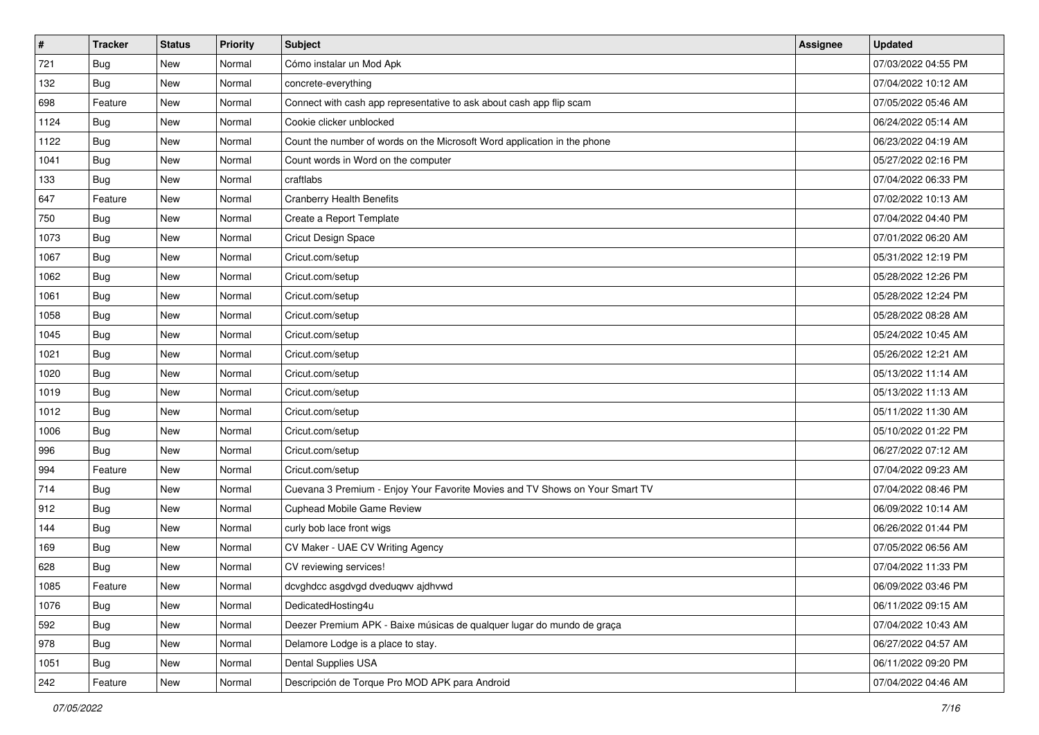| $\sharp$ | <b>Tracker</b> | <b>Status</b> | <b>Priority</b> | Subject                                                                      | Assignee | <b>Updated</b>      |
|----------|----------------|---------------|-----------------|------------------------------------------------------------------------------|----------|---------------------|
| 721      | <b>Bug</b>     | New           | Normal          | Cómo instalar un Mod Apk                                                     |          | 07/03/2022 04:55 PM |
| 132      | <b>Bug</b>     | <b>New</b>    | Normal          | concrete-everything                                                          |          | 07/04/2022 10:12 AM |
| 698      | Feature        | New           | Normal          | Connect with cash app representative to ask about cash app flip scam         |          | 07/05/2022 05:46 AM |
| 1124     | <b>Bug</b>     | New           | Normal          | Cookie clicker unblocked                                                     |          | 06/24/2022 05:14 AM |
| 1122     | <b>Bug</b>     | <b>New</b>    | Normal          | Count the number of words on the Microsoft Word application in the phone     |          | 06/23/2022 04:19 AM |
| 1041     | Bug            | New           | Normal          | Count words in Word on the computer                                          |          | 05/27/2022 02:16 PM |
| 133      | <b>Bug</b>     | New           | Normal          | craftlabs                                                                    |          | 07/04/2022 06:33 PM |
| 647      | Feature        | New           | Normal          | <b>Cranberry Health Benefits</b>                                             |          | 07/02/2022 10:13 AM |
| 750      | Bug            | New           | Normal          | Create a Report Template                                                     |          | 07/04/2022 04:40 PM |
| 1073     | Bug            | <b>New</b>    | Normal          | Cricut Design Space                                                          |          | 07/01/2022 06:20 AM |
| 1067     | <b>Bug</b>     | New           | Normal          | Cricut.com/setup                                                             |          | 05/31/2022 12:19 PM |
| 1062     | Bug            | New           | Normal          | Cricut.com/setup                                                             |          | 05/28/2022 12:26 PM |
| 1061     | Bug            | <b>New</b>    | Normal          | Cricut.com/setup                                                             |          | 05/28/2022 12:24 PM |
| 1058     | <b>Bug</b>     | <b>New</b>    | Normal          | Cricut.com/setup                                                             |          | 05/28/2022 08:28 AM |
| 1045     | <b>Bug</b>     | <b>New</b>    | Normal          | Cricut.com/setup                                                             |          | 05/24/2022 10:45 AM |
| 1021     | Bug            | New           | Normal          | Cricut.com/setup                                                             |          | 05/26/2022 12:21 AM |
| 1020     | <b>Bug</b>     | New           | Normal          | Cricut.com/setup                                                             |          | 05/13/2022 11:14 AM |
| 1019     | <b>Bug</b>     | <b>New</b>    | Normal          | Cricut.com/setup                                                             |          | 05/13/2022 11:13 AM |
| 1012     | <b>Bug</b>     | New           | Normal          | Cricut.com/setup                                                             |          | 05/11/2022 11:30 AM |
| 1006     | <b>Bug</b>     | <b>New</b>    | Normal          | Cricut.com/setup                                                             |          | 05/10/2022 01:22 PM |
| 996      | Bug            | New           | Normal          | Cricut.com/setup                                                             |          | 06/27/2022 07:12 AM |
| 994      | Feature        | <b>New</b>    | Normal          | Cricut.com/setup                                                             |          | 07/04/2022 09:23 AM |
| 714      | Bug            | <b>New</b>    | Normal          | Cuevana 3 Premium - Enjoy Your Favorite Movies and TV Shows on Your Smart TV |          | 07/04/2022 08:46 PM |
| 912      | <b>Bug</b>     | New           | Normal          | Cuphead Mobile Game Review                                                   |          | 06/09/2022 10:14 AM |
| 144      | Bug            | New           | Normal          | curly bob lace front wigs                                                    |          | 06/26/2022 01:44 PM |
| 169      | <b>Bug</b>     | New           | Normal          | CV Maker - UAE CV Writing Agency                                             |          | 07/05/2022 06:56 AM |
| 628      | <b>Bug</b>     | New           | Normal          | CV reviewing services!                                                       |          | 07/04/2022 11:33 PM |
| 1085     | Feature        | New           | Normal          | dcvghdcc asgdvgd dveduqwv ajdhvwd                                            |          | 06/09/2022 03:46 PM |
| 1076     | Bug            | New           | Normal          | DedicatedHosting4u                                                           |          | 06/11/2022 09:15 AM |
| 592      | Bug            | New           | Normal          | Deezer Premium APK - Baixe músicas de qualquer lugar do mundo de graça       |          | 07/04/2022 10:43 AM |
| 978      | <b>Bug</b>     | New           | Normal          | Delamore Lodge is a place to stay.                                           |          | 06/27/2022 04:57 AM |
| 1051     | <b>Bug</b>     | New           | Normal          | Dental Supplies USA                                                          |          | 06/11/2022 09:20 PM |
| 242      | Feature        | New           | Normal          | Descripción de Torque Pro MOD APK para Android                               |          | 07/04/2022 04:46 AM |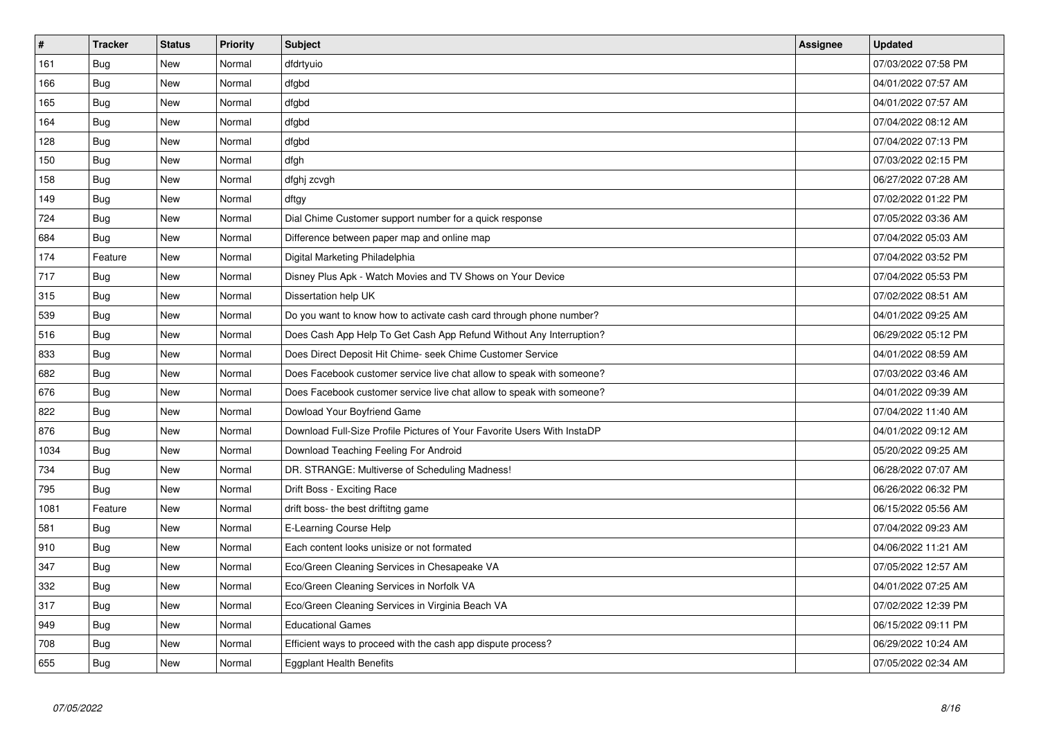| $\pmb{\#}$ | <b>Tracker</b> | <b>Status</b> | <b>Priority</b> | <b>Subject</b>                                                          | Assignee | <b>Updated</b>      |
|------------|----------------|---------------|-----------------|-------------------------------------------------------------------------|----------|---------------------|
| 161        | Bug            | <b>New</b>    | Normal          | dfdrtyuio                                                               |          | 07/03/2022 07:58 PM |
| 166        | Bug            | New           | Normal          | dfgbd                                                                   |          | 04/01/2022 07:57 AM |
| 165        | Bug            | New           | Normal          | dfgbd                                                                   |          | 04/01/2022 07:57 AM |
| 164        | <b>Bug</b>     | New           | Normal          | dfgbd                                                                   |          | 07/04/2022 08:12 AM |
| 128        | Bug            | New           | Normal          | dfgbd                                                                   |          | 07/04/2022 07:13 PM |
| 150        | Bug            | New           | Normal          | dfgh                                                                    |          | 07/03/2022 02:15 PM |
| 158        | Bug            | New           | Normal          | dfghj zcvgh                                                             |          | 06/27/2022 07:28 AM |
| 149        | Bug            | New           | Normal          | dftgy                                                                   |          | 07/02/2022 01:22 PM |
| 724        | Bug            | New           | Normal          | Dial Chime Customer support number for a quick response                 |          | 07/05/2022 03:36 AM |
| 684        | <b>Bug</b>     | New           | Normal          | Difference between paper map and online map                             |          | 07/04/2022 05:03 AM |
| 174        | Feature        | New           | Normal          | Digital Marketing Philadelphia                                          |          | 07/04/2022 03:52 PM |
| 717        | Bug            | New           | Normal          | Disney Plus Apk - Watch Movies and TV Shows on Your Device              |          | 07/04/2022 05:53 PM |
| 315        | <b>Bug</b>     | New           | Normal          | Dissertation help UK                                                    |          | 07/02/2022 08:51 AM |
| 539        | Bug            | New           | Normal          | Do you want to know how to activate cash card through phone number?     |          | 04/01/2022 09:25 AM |
| 516        | Bug            | New           | Normal          | Does Cash App Help To Get Cash App Refund Without Any Interruption?     |          | 06/29/2022 05:12 PM |
| 833        | Bug            | New           | Normal          | Does Direct Deposit Hit Chime- seek Chime Customer Service              |          | 04/01/2022 08:59 AM |
| 682        | <b>Bug</b>     | New           | Normal          | Does Facebook customer service live chat allow to speak with someone?   |          | 07/03/2022 03:46 AM |
| 676        | Bug            | New           | Normal          | Does Facebook customer service live chat allow to speak with someone?   |          | 04/01/2022 09:39 AM |
| 822        | Bug            | New           | Normal          | Dowload Your Boyfriend Game                                             |          | 07/04/2022 11:40 AM |
| 876        | <b>Bug</b>     | New           | Normal          | Download Full-Size Profile Pictures of Your Favorite Users With InstaDP |          | 04/01/2022 09:12 AM |
| 1034       | <b>Bug</b>     | New           | Normal          | Download Teaching Feeling For Android                                   |          | 05/20/2022 09:25 AM |
| 734        | Bug            | New           | Normal          | DR. STRANGE: Multiverse of Scheduling Madness!                          |          | 06/28/2022 07:07 AM |
| 795        | Bug            | New           | Normal          | Drift Boss - Exciting Race                                              |          | 06/26/2022 06:32 PM |
| 1081       | Feature        | New           | Normal          | drift boss- the best driftitng game                                     |          | 06/15/2022 05:56 AM |
| 581        | <b>Bug</b>     | <b>New</b>    | Normal          | E-Learning Course Help                                                  |          | 07/04/2022 09:23 AM |
| 910        | Bug            | <b>New</b>    | Normal          | Each content looks unisize or not formated                              |          | 04/06/2022 11:21 AM |
| 347        | <b>Bug</b>     | <b>New</b>    | Normal          | Eco/Green Cleaning Services in Chesapeake VA                            |          | 07/05/2022 12:57 AM |
| 332        | <b>Bug</b>     | <b>New</b>    | Normal          | Eco/Green Cleaning Services in Norfolk VA                               |          | 04/01/2022 07:25 AM |
| 317        | Bug            | <b>New</b>    | Normal          | Eco/Green Cleaning Services in Virginia Beach VA                        |          | 07/02/2022 12:39 PM |
| 949        | Bug            | <b>New</b>    | Normal          | <b>Educational Games</b>                                                |          | 06/15/2022 09:11 PM |
| 708        | <b>Bug</b>     | <b>New</b>    | Normal          | Efficient ways to proceed with the cash app dispute process?            |          | 06/29/2022 10:24 AM |
| 655        | Bug            | <b>New</b>    | Normal          | <b>Eggplant Health Benefits</b>                                         |          | 07/05/2022 02:34 AM |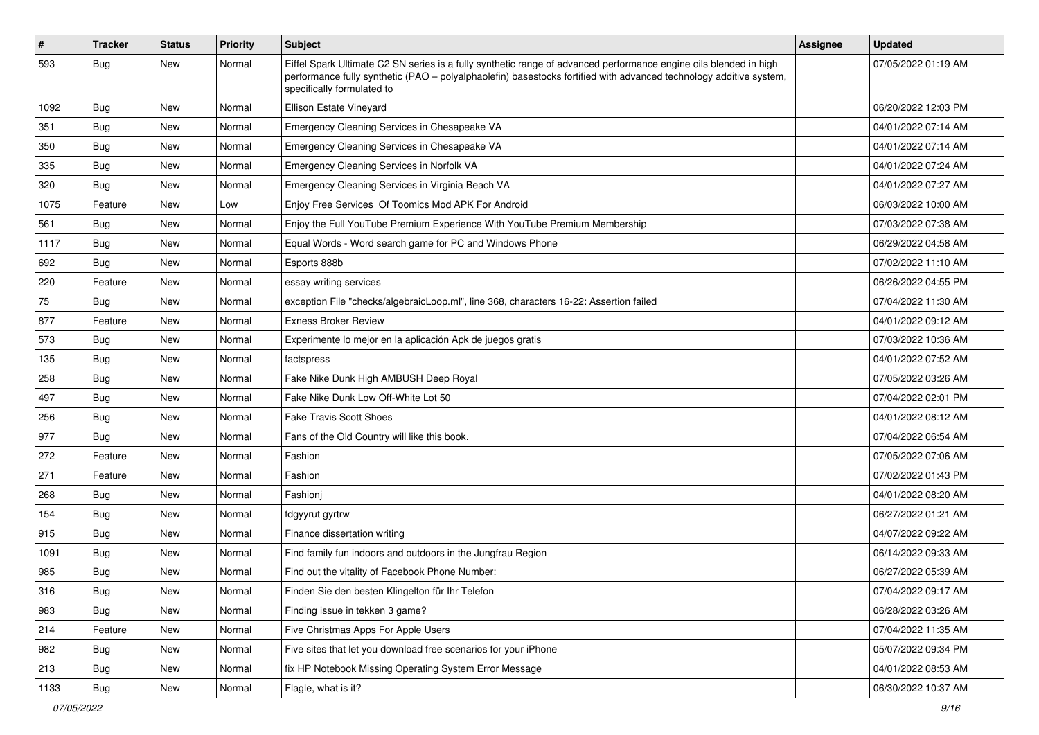| #    | <b>Tracker</b> | <b>Status</b> | <b>Priority</b> | Subject                                                                                                                                                                                                                                                               | Assignee | <b>Updated</b>      |
|------|----------------|---------------|-----------------|-----------------------------------------------------------------------------------------------------------------------------------------------------------------------------------------------------------------------------------------------------------------------|----------|---------------------|
| 593  | <b>Bug</b>     | New           | Normal          | Eiffel Spark Ultimate C2 SN series is a fully synthetic range of advanced performance engine oils blended in high<br>performance fully synthetic (PAO - polyalphaolefin) basestocks fortified with advanced technology additive system,<br>specifically formulated to |          | 07/05/2022 01:19 AM |
| 1092 | Bug            | New           | Normal          | Ellison Estate Vineyard                                                                                                                                                                                                                                               |          | 06/20/2022 12:03 PM |
| 351  | Bug            | <b>New</b>    | Normal          | Emergency Cleaning Services in Chesapeake VA                                                                                                                                                                                                                          |          | 04/01/2022 07:14 AM |
| 350  | Bug            | New           | Normal          | Emergency Cleaning Services in Chesapeake VA                                                                                                                                                                                                                          |          | 04/01/2022 07:14 AM |
| 335  | Bug            | New           | Normal          | Emergency Cleaning Services in Norfolk VA                                                                                                                                                                                                                             |          | 04/01/2022 07:24 AM |
| 320  | Bug            | New           | Normal          | Emergency Cleaning Services in Virginia Beach VA                                                                                                                                                                                                                      |          | 04/01/2022 07:27 AM |
| 1075 | Feature        | New           | Low             | Enjoy Free Services Of Toomics Mod APK For Android                                                                                                                                                                                                                    |          | 06/03/2022 10:00 AM |
| 561  | <b>Bug</b>     | New           | Normal          | Enjoy the Full YouTube Premium Experience With YouTube Premium Membership                                                                                                                                                                                             |          | 07/03/2022 07:38 AM |
| 1117 | Bug            | New           | Normal          | Equal Words - Word search game for PC and Windows Phone                                                                                                                                                                                                               |          | 06/29/2022 04:58 AM |
| 692  | Bug            | New           | Normal          | Esports 888b                                                                                                                                                                                                                                                          |          | 07/02/2022 11:10 AM |
| 220  | Feature        | New           | Normal          | essay writing services                                                                                                                                                                                                                                                |          | 06/26/2022 04:55 PM |
| 75   | <b>Bug</b>     | New           | Normal          | exception File "checks/algebraicLoop.ml", line 368, characters 16-22: Assertion failed                                                                                                                                                                                |          | 07/04/2022 11:30 AM |
| 877  | Feature        | New           | Normal          | <b>Exness Broker Review</b>                                                                                                                                                                                                                                           |          | 04/01/2022 09:12 AM |
| 573  | Bug            | New           | Normal          | Experimente lo mejor en la aplicación Apk de juegos gratis                                                                                                                                                                                                            |          | 07/03/2022 10:36 AM |
| 135  | Bug            | New           | Normal          | factspress                                                                                                                                                                                                                                                            |          | 04/01/2022 07:52 AM |
| 258  | Bug            | New           | Normal          | Fake Nike Dunk High AMBUSH Deep Royal                                                                                                                                                                                                                                 |          | 07/05/2022 03:26 AM |
| 497  | Bug            | New           | Normal          | Fake Nike Dunk Low Off-White Lot 50                                                                                                                                                                                                                                   |          | 07/04/2022 02:01 PM |
| 256  | Bug            | New           | Normal          | <b>Fake Travis Scott Shoes</b>                                                                                                                                                                                                                                        |          | 04/01/2022 08:12 AM |
| 977  | Bug            | New           | Normal          | Fans of the Old Country will like this book.                                                                                                                                                                                                                          |          | 07/04/2022 06:54 AM |
| 272  | Feature        | New           | Normal          | Fashion                                                                                                                                                                                                                                                               |          | 07/05/2022 07:06 AM |
| 271  | Feature        | New           | Normal          | Fashion                                                                                                                                                                                                                                                               |          | 07/02/2022 01:43 PM |
| 268  | Bug            | New           | Normal          | Fashionj                                                                                                                                                                                                                                                              |          | 04/01/2022 08:20 AM |
| 154  | <b>Bug</b>     | <b>New</b>    | Normal          | fdgyyrut gyrtrw                                                                                                                                                                                                                                                       |          | 06/27/2022 01:21 AM |
| 915  | Bug            | New           | Normal          | Finance dissertation writing                                                                                                                                                                                                                                          |          | 04/07/2022 09:22 AM |
| 1091 | <b>Bug</b>     | New           | Normal          | Find family fun indoors and outdoors in the Jungfrau Region                                                                                                                                                                                                           |          | 06/14/2022 09:33 AM |
| 985  | <b>Bug</b>     | New           | Normal          | Find out the vitality of Facebook Phone Number:                                                                                                                                                                                                                       |          | 06/27/2022 05:39 AM |
| 316  | Bug            | New           | Normal          | Finden Sie den besten Klingelton für Ihr Telefon                                                                                                                                                                                                                      |          | 07/04/2022 09:17 AM |
| 983  | Bug            | New           | Normal          | Finding issue in tekken 3 game?                                                                                                                                                                                                                                       |          | 06/28/2022 03:26 AM |
| 214  | Feature        | <b>New</b>    | Normal          | Five Christmas Apps For Apple Users                                                                                                                                                                                                                                   |          | 07/04/2022 11:35 AM |
| 982  | <b>Bug</b>     | New           | Normal          | Five sites that let you download free scenarios for your iPhone                                                                                                                                                                                                       |          | 05/07/2022 09:34 PM |
| 213  | Bug            | New           | Normal          | fix HP Notebook Missing Operating System Error Message                                                                                                                                                                                                                |          | 04/01/2022 08:53 AM |
| 1133 | <b>Bug</b>     | New           | Normal          | Flagle, what is it?                                                                                                                                                                                                                                                   |          | 06/30/2022 10:37 AM |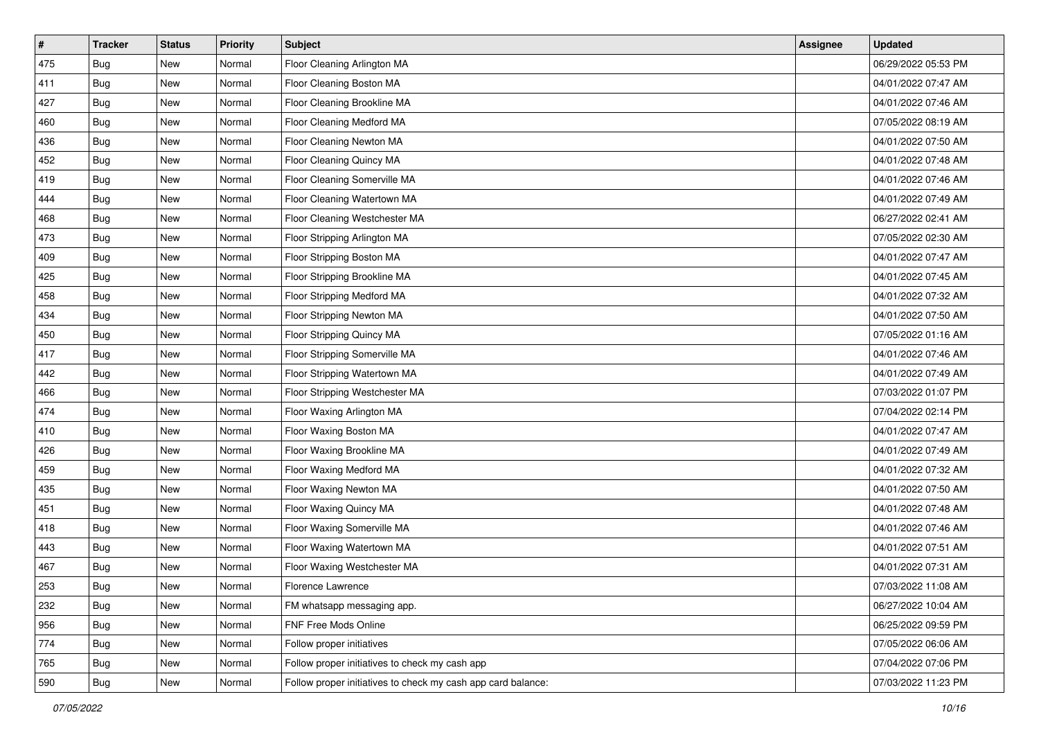| $\vert$ # | <b>Tracker</b> | <b>Status</b> | Priority | <b>Subject</b>                                               | Assignee | <b>Updated</b>      |
|-----------|----------------|---------------|----------|--------------------------------------------------------------|----------|---------------------|
| 475       | <b>Bug</b>     | New           | Normal   | Floor Cleaning Arlington MA                                  |          | 06/29/2022 05:53 PM |
| 411       | <b>Bug</b>     | New           | Normal   | Floor Cleaning Boston MA                                     |          | 04/01/2022 07:47 AM |
| 427       | Bug            | New           | Normal   | Floor Cleaning Brookline MA                                  |          | 04/01/2022 07:46 AM |
| 460       | <b>Bug</b>     | New           | Normal   | Floor Cleaning Medford MA                                    |          | 07/05/2022 08:19 AM |
| 436       | <b>Bug</b>     | New           | Normal   | Floor Cleaning Newton MA                                     |          | 04/01/2022 07:50 AM |
| 452       | <b>Bug</b>     | New           | Normal   | Floor Cleaning Quincy MA                                     |          | 04/01/2022 07:48 AM |
| 419       | <b>Bug</b>     | New           | Normal   | Floor Cleaning Somerville MA                                 |          | 04/01/2022 07:46 AM |
| 444       | <b>Bug</b>     | New           | Normal   | Floor Cleaning Watertown MA                                  |          | 04/01/2022 07:49 AM |
| 468       | <b>Bug</b>     | New           | Normal   | Floor Cleaning Westchester MA                                |          | 06/27/2022 02:41 AM |
| 473       | Bug            | New           | Normal   | Floor Stripping Arlington MA                                 |          | 07/05/2022 02:30 AM |
| 409       | <b>Bug</b>     | New           | Normal   | Floor Stripping Boston MA                                    |          | 04/01/2022 07:47 AM |
| 425       | <b>Bug</b>     | New           | Normal   | Floor Stripping Brookline MA                                 |          | 04/01/2022 07:45 AM |
| 458       | Bug            | New           | Normal   | Floor Stripping Medford MA                                   |          | 04/01/2022 07:32 AM |
| 434       | <b>Bug</b>     | New           | Normal   | Floor Stripping Newton MA                                    |          | 04/01/2022 07:50 AM |
| 450       | <b>Bug</b>     | New           | Normal   | Floor Stripping Quincy MA                                    |          | 07/05/2022 01:16 AM |
| 417       | <b>Bug</b>     | New           | Normal   | Floor Stripping Somerville MA                                |          | 04/01/2022 07:46 AM |
| 442       | <b>Bug</b>     | New           | Normal   | Floor Stripping Watertown MA                                 |          | 04/01/2022 07:49 AM |
| 466       | <b>Bug</b>     | New           | Normal   | Floor Stripping Westchester MA                               |          | 07/03/2022 01:07 PM |
| 474       | <b>Bug</b>     | New           | Normal   | Floor Waxing Arlington MA                                    |          | 07/04/2022 02:14 PM |
| 410       | <b>Bug</b>     | New           | Normal   | Floor Waxing Boston MA                                       |          | 04/01/2022 07:47 AM |
| 426       | <b>Bug</b>     | New           | Normal   | Floor Waxing Brookline MA                                    |          | 04/01/2022 07:49 AM |
| 459       | <b>Bug</b>     | New           | Normal   | Floor Waxing Medford MA                                      |          | 04/01/2022 07:32 AM |
| 435       | Bug            | New           | Normal   | Floor Waxing Newton MA                                       |          | 04/01/2022 07:50 AM |
| 451       | <b>Bug</b>     | New           | Normal   | Floor Waxing Quincy MA                                       |          | 04/01/2022 07:48 AM |
| 418       | <b>Bug</b>     | New           | Normal   | Floor Waxing Somerville MA                                   |          | 04/01/2022 07:46 AM |
| 443       | <b>Bug</b>     | New           | Normal   | Floor Waxing Watertown MA                                    |          | 04/01/2022 07:51 AM |
| 467       | <b>Bug</b>     | New           | Normal   | Floor Waxing Westchester MA                                  |          | 04/01/2022 07:31 AM |
| 253       | Bug            | New           | Normal   | Florence Lawrence                                            |          | 07/03/2022 11:08 AM |
| 232       | Bug            | New           | Normal   | FM whatsapp messaging app.                                   |          | 06/27/2022 10:04 AM |
| 956       | Bug            | New           | Normal   | FNF Free Mods Online                                         |          | 06/25/2022 09:59 PM |
| 774       | Bug            | New           | Normal   | Follow proper initiatives                                    |          | 07/05/2022 06:06 AM |
| 765       | <b>Bug</b>     | New           | Normal   | Follow proper initiatives to check my cash app               |          | 07/04/2022 07:06 PM |
| 590       | <b>Bug</b>     | New           | Normal   | Follow proper initiatives to check my cash app card balance: |          | 07/03/2022 11:23 PM |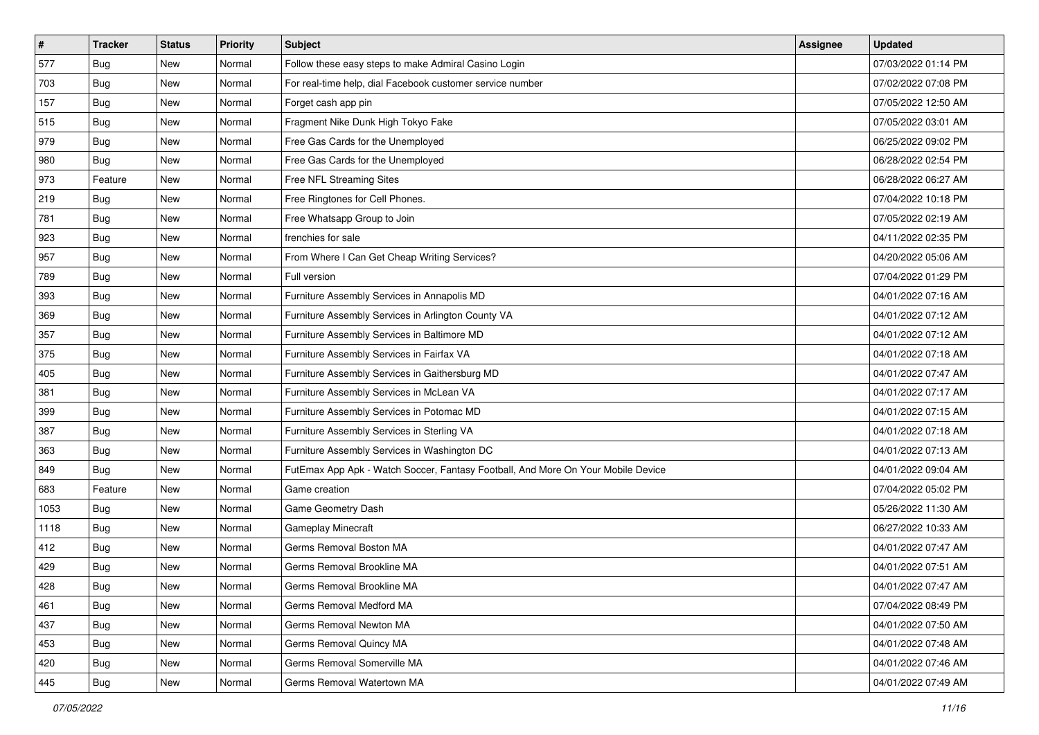| $\vert$ # | <b>Tracker</b> | <b>Status</b> | <b>Priority</b> | Subject                                                                          | Assignee | <b>Updated</b>      |
|-----------|----------------|---------------|-----------------|----------------------------------------------------------------------------------|----------|---------------------|
| 577       | <b>Bug</b>     | New           | Normal          | Follow these easy steps to make Admiral Casino Login                             |          | 07/03/2022 01:14 PM |
| 703       | Bug            | New           | Normal          | For real-time help, dial Facebook customer service number                        |          | 07/02/2022 07:08 PM |
| 157       | Bug            | New           | Normal          | Forget cash app pin                                                              |          | 07/05/2022 12:50 AM |
| 515       | <b>Bug</b>     | New           | Normal          | Fragment Nike Dunk High Tokyo Fake                                               |          | 07/05/2022 03:01 AM |
| 979       | Bug            | New           | Normal          | Free Gas Cards for the Unemployed                                                |          | 06/25/2022 09:02 PM |
| 980       | <b>Bug</b>     | New           | Normal          | Free Gas Cards for the Unemployed                                                |          | 06/28/2022 02:54 PM |
| 973       | Feature        | New           | Normal          | Free NFL Streaming Sites                                                         |          | 06/28/2022 06:27 AM |
| 219       | <b>Bug</b>     | New           | Normal          | Free Ringtones for Cell Phones.                                                  |          | 07/04/2022 10:18 PM |
| 781       | <b>Bug</b>     | New           | Normal          | Free Whatsapp Group to Join                                                      |          | 07/05/2022 02:19 AM |
| 923       | Bug            | New           | Normal          | frenchies for sale                                                               |          | 04/11/2022 02:35 PM |
| 957       | <b>Bug</b>     | New           | Normal          | From Where I Can Get Cheap Writing Services?                                     |          | 04/20/2022 05:06 AM |
| 789       | Bug            | New           | Normal          | Full version                                                                     |          | 07/04/2022 01:29 PM |
| 393       | Bug            | New           | Normal          | Furniture Assembly Services in Annapolis MD                                      |          | 04/01/2022 07:16 AM |
| 369       | <b>Bug</b>     | New           | Normal          | Furniture Assembly Services in Arlington County VA                               |          | 04/01/2022 07:12 AM |
| 357       | Bug            | New           | Normal          | Furniture Assembly Services in Baltimore MD                                      |          | 04/01/2022 07:12 AM |
| 375       | Bug            | New           | Normal          | Furniture Assembly Services in Fairfax VA                                        |          | 04/01/2022 07:18 AM |
| 405       | <b>Bug</b>     | New           | Normal          | Furniture Assembly Services in Gaithersburg MD                                   |          | 04/01/2022 07:47 AM |
| 381       | <b>Bug</b>     | New           | Normal          | Furniture Assembly Services in McLean VA                                         |          | 04/01/2022 07:17 AM |
| 399       | <b>Bug</b>     | New           | Normal          | Furniture Assembly Services in Potomac MD                                        |          | 04/01/2022 07:15 AM |
| 387       | <b>Bug</b>     | New           | Normal          | Furniture Assembly Services in Sterling VA                                       |          | 04/01/2022 07:18 AM |
| 363       | <b>Bug</b>     | New           | Normal          | Furniture Assembly Services in Washington DC                                     |          | 04/01/2022 07:13 AM |
| 849       | <b>Bug</b>     | New           | Normal          | FutEmax App Apk - Watch Soccer, Fantasy Football, And More On Your Mobile Device |          | 04/01/2022 09:04 AM |
| 683       | Feature        | New           | Normal          | Game creation                                                                    |          | 07/04/2022 05:02 PM |
| 1053      | <b>Bug</b>     | New           | Normal          | Game Geometry Dash                                                               |          | 05/26/2022 11:30 AM |
| 1118      | <b>Bug</b>     | New           | Normal          | <b>Gameplay Minecraft</b>                                                        |          | 06/27/2022 10:33 AM |
| 412       | <b>Bug</b>     | New           | Normal          | Germs Removal Boston MA                                                          |          | 04/01/2022 07:47 AM |
| 429       | <b>Bug</b>     | New           | Normal          | Germs Removal Brookline MA                                                       |          | 04/01/2022 07:51 AM |
| 428       | <b>Bug</b>     | New           | Normal          | Germs Removal Brookline MA                                                       |          | 04/01/2022 07:47 AM |
| 461       | Bug            | New           | Normal          | Germs Removal Medford MA                                                         |          | 07/04/2022 08:49 PM |
| 437       | <b>Bug</b>     | New           | Normal          | Germs Removal Newton MA                                                          |          | 04/01/2022 07:50 AM |
| 453       | Bug            | New           | Normal          | Germs Removal Quincy MA                                                          |          | 04/01/2022 07:48 AM |
| 420       | <b>Bug</b>     | New           | Normal          | Germs Removal Somerville MA                                                      |          | 04/01/2022 07:46 AM |
| 445       | <b>Bug</b>     | New           | Normal          | Germs Removal Watertown MA                                                       |          | 04/01/2022 07:49 AM |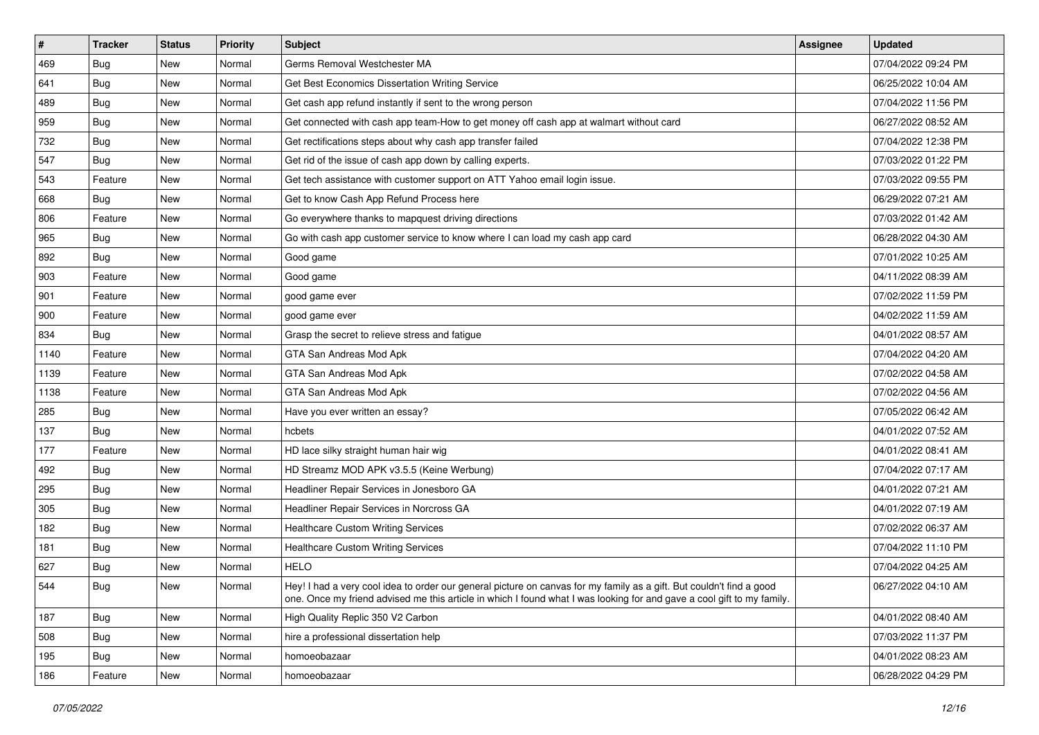| $\pmb{\sharp}$ | <b>Tracker</b> | <b>Status</b> | <b>Priority</b> | Subject                                                                                                                                                                                                                                        | <b>Assignee</b> | <b>Updated</b>      |
|----------------|----------------|---------------|-----------------|------------------------------------------------------------------------------------------------------------------------------------------------------------------------------------------------------------------------------------------------|-----------------|---------------------|
| 469            | <b>Bug</b>     | New           | Normal          | Germs Removal Westchester MA                                                                                                                                                                                                                   |                 | 07/04/2022 09:24 PM |
| 641            | Bug            | New           | Normal          | Get Best Economics Dissertation Writing Service                                                                                                                                                                                                |                 | 06/25/2022 10:04 AM |
| 489            | <b>Bug</b>     | New           | Normal          | Get cash app refund instantly if sent to the wrong person                                                                                                                                                                                      |                 | 07/04/2022 11:56 PM |
| 959            | <b>Bug</b>     | New           | Normal          | Get connected with cash app team-How to get money off cash app at walmart without card                                                                                                                                                         |                 | 06/27/2022 08:52 AM |
| 732            | <b>Bug</b>     | New           | Normal          | Get rectifications steps about why cash app transfer failed                                                                                                                                                                                    |                 | 07/04/2022 12:38 PM |
| 547            | Bug            | New           | Normal          | Get rid of the issue of cash app down by calling experts.                                                                                                                                                                                      |                 | 07/03/2022 01:22 PM |
| 543            | Feature        | New           | Normal          | Get tech assistance with customer support on ATT Yahoo email login issue.                                                                                                                                                                      |                 | 07/03/2022 09:55 PM |
| 668            | Bug            | New           | Normal          | Get to know Cash App Refund Process here                                                                                                                                                                                                       |                 | 06/29/2022 07:21 AM |
| 806            | Feature        | New           | Normal          | Go everywhere thanks to mapquest driving directions                                                                                                                                                                                            |                 | 07/03/2022 01:42 AM |
| 965            | Bug            | New           | Normal          | Go with cash app customer service to know where I can load my cash app card                                                                                                                                                                    |                 | 06/28/2022 04:30 AM |
| 892            | <b>Bug</b>     | New           | Normal          | Good game                                                                                                                                                                                                                                      |                 | 07/01/2022 10:25 AM |
| 903            | Feature        | New           | Normal          | Good game                                                                                                                                                                                                                                      |                 | 04/11/2022 08:39 AM |
| 901            | Feature        | New           | Normal          | good game ever                                                                                                                                                                                                                                 |                 | 07/02/2022 11:59 PM |
| 900            | Feature        | New           | Normal          | good game ever                                                                                                                                                                                                                                 |                 | 04/02/2022 11:59 AM |
| 834            | <b>Bug</b>     | <b>New</b>    | Normal          | Grasp the secret to relieve stress and fatigue                                                                                                                                                                                                 |                 | 04/01/2022 08:57 AM |
| 1140           | Feature        | New           | Normal          | GTA San Andreas Mod Apk                                                                                                                                                                                                                        |                 | 07/04/2022 04:20 AM |
| 1139           | Feature        | <b>New</b>    | Normal          | GTA San Andreas Mod Apk                                                                                                                                                                                                                        |                 | 07/02/2022 04:58 AM |
| 1138           | Feature        | New           | Normal          | GTA San Andreas Mod Apk                                                                                                                                                                                                                        |                 | 07/02/2022 04:56 AM |
| 285            | <b>Bug</b>     | New           | Normal          | Have you ever written an essay?                                                                                                                                                                                                                |                 | 07/05/2022 06:42 AM |
| 137            | <b>Bug</b>     | New           | Normal          | hcbets                                                                                                                                                                                                                                         |                 | 04/01/2022 07:52 AM |
| 177            | Feature        | New           | Normal          | HD lace silky straight human hair wig                                                                                                                                                                                                          |                 | 04/01/2022 08:41 AM |
| 492            | <b>Bug</b>     | New           | Normal          | HD Streamz MOD APK v3.5.5 (Keine Werbung)                                                                                                                                                                                                      |                 | 07/04/2022 07:17 AM |
| 295            | Bug            | New           | Normal          | Headliner Repair Services in Jonesboro GA                                                                                                                                                                                                      |                 | 04/01/2022 07:21 AM |
| 305            | <b>Bug</b>     | New           | Normal          | Headliner Repair Services in Norcross GA                                                                                                                                                                                                       |                 | 04/01/2022 07:19 AM |
| 182            | Bug            | New           | Normal          | <b>Healthcare Custom Writing Services</b>                                                                                                                                                                                                      |                 | 07/02/2022 06:37 AM |
| 181            | Bug            | New           | Normal          | <b>Healthcare Custom Writing Services</b>                                                                                                                                                                                                      |                 | 07/04/2022 11:10 PM |
| 627            | <b>Bug</b>     | New           | Normal          | <b>HELO</b>                                                                                                                                                                                                                                    |                 | 07/04/2022 04:25 AM |
| 544            | <b>Bug</b>     | New           | Normal          | Hey! I had a very cool idea to order our general picture on canvas for my family as a gift. But couldn't find a good<br>one. Once my friend advised me this article in which I found what I was looking for and gave a cool gift to my family. |                 | 06/27/2022 04:10 AM |
| 187            | <b>Bug</b>     | New           | Normal          | High Quality Replic 350 V2 Carbon                                                                                                                                                                                                              |                 | 04/01/2022 08:40 AM |
| 508            | Bug            | New           | Normal          | hire a professional dissertation help                                                                                                                                                                                                          |                 | 07/03/2022 11:37 PM |
| 195            | <b>Bug</b>     | New           | Normal          | homoeobazaar                                                                                                                                                                                                                                   |                 | 04/01/2022 08:23 AM |
| 186            | Feature        | New           | Normal          | homoeobazaar                                                                                                                                                                                                                                   |                 | 06/28/2022 04:29 PM |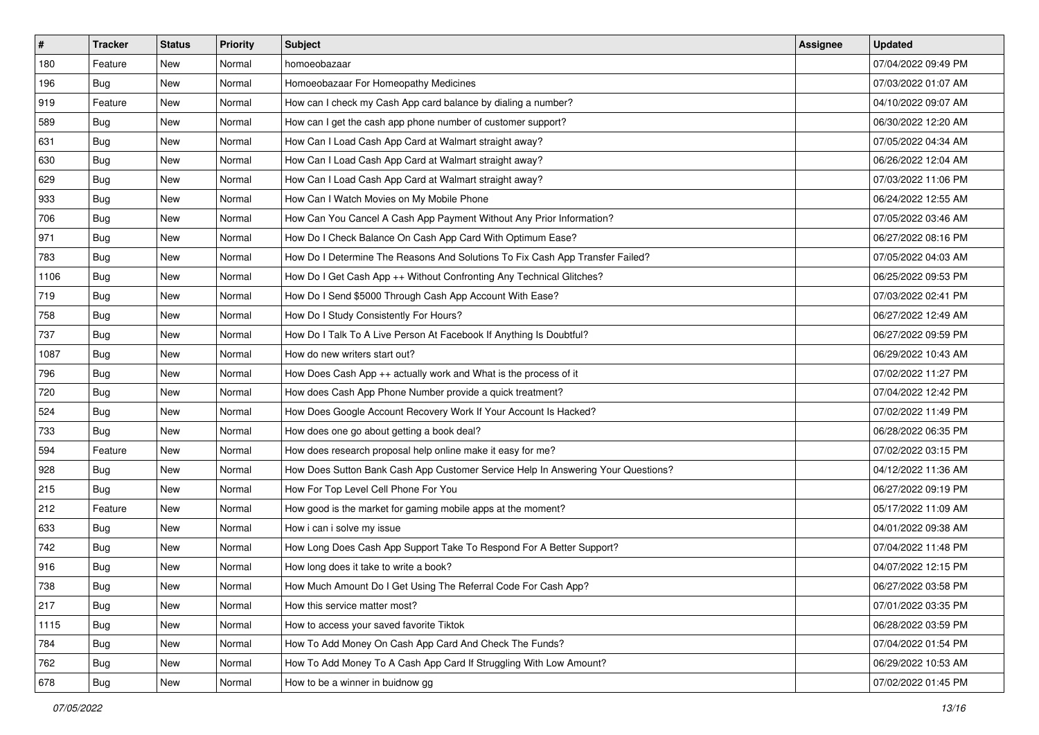| $\sharp$ | <b>Tracker</b> | <b>Status</b> | <b>Priority</b> | Subject                                                                          | <b>Assignee</b> | <b>Updated</b>      |
|----------|----------------|---------------|-----------------|----------------------------------------------------------------------------------|-----------------|---------------------|
| 180      | Feature        | New           | Normal          | homoeobazaar                                                                     |                 | 07/04/2022 09:49 PM |
| 196      | <b>Bug</b>     | New           | Normal          | Homoeobazaar For Homeopathy Medicines                                            |                 | 07/03/2022 01:07 AM |
| 919      | Feature        | New           | Normal          | How can I check my Cash App card balance by dialing a number?                    |                 | 04/10/2022 09:07 AM |
| 589      | <b>Bug</b>     | New           | Normal          | How can I get the cash app phone number of customer support?                     |                 | 06/30/2022 12:20 AM |
| 631      | <b>Bug</b>     | New           | Normal          | How Can I Load Cash App Card at Walmart straight away?                           |                 | 07/05/2022 04:34 AM |
| 630      | <b>Bug</b>     | New           | Normal          | How Can I Load Cash App Card at Walmart straight away?                           |                 | 06/26/2022 12:04 AM |
| 629      | Bug            | New           | Normal          | How Can I Load Cash App Card at Walmart straight away?                           |                 | 07/03/2022 11:06 PM |
| 933      | Bug            | New           | Normal          | How Can I Watch Movies on My Mobile Phone                                        |                 | 06/24/2022 12:55 AM |
| 706      | <b>Bug</b>     | New           | Normal          | How Can You Cancel A Cash App Payment Without Any Prior Information?             |                 | 07/05/2022 03:46 AM |
| 971      | Bug            | New           | Normal          | How Do I Check Balance On Cash App Card With Optimum Ease?                       |                 | 06/27/2022 08:16 PM |
| 783      | <b>Bug</b>     | New           | Normal          | How Do I Determine The Reasons And Solutions To Fix Cash App Transfer Failed?    |                 | 07/05/2022 04:03 AM |
| 1106     | <b>Bug</b>     | New           | Normal          | How Do I Get Cash App ++ Without Confronting Any Technical Glitches?             |                 | 06/25/2022 09:53 PM |
| 719      | Bug            | New           | Normal          | How Do I Send \$5000 Through Cash App Account With Ease?                         |                 | 07/03/2022 02:41 PM |
| 758      | <b>Bug</b>     | New           | Normal          | How Do I Study Consistently For Hours?                                           |                 | 06/27/2022 12:49 AM |
| 737      | <b>Bug</b>     | New           | Normal          | How Do I Talk To A Live Person At Facebook If Anything Is Doubtful?              |                 | 06/27/2022 09:59 PM |
| 1087     | <b>Bug</b>     | New           | Normal          | How do new writers start out?                                                    |                 | 06/29/2022 10:43 AM |
| 796      | <b>Bug</b>     | New           | Normal          | How Does Cash App ++ actually work and What is the process of it                 |                 | 07/02/2022 11:27 PM |
| 720      | Bug            | New           | Normal          | How does Cash App Phone Number provide a quick treatment?                        |                 | 07/04/2022 12:42 PM |
| 524      | <b>Bug</b>     | New           | Normal          | How Does Google Account Recovery Work If Your Account Is Hacked?                 |                 | 07/02/2022 11:49 PM |
| 733      | <b>Bug</b>     | New           | Normal          | How does one go about getting a book deal?                                       |                 | 06/28/2022 06:35 PM |
| 594      | Feature        | New           | Normal          | How does research proposal help online make it easy for me?                      |                 | 07/02/2022 03:15 PM |
| 928      | <b>Bug</b>     | New           | Normal          | How Does Sutton Bank Cash App Customer Service Help In Answering Your Questions? |                 | 04/12/2022 11:36 AM |
| 215      | Bug            | New           | Normal          | How For Top Level Cell Phone For You                                             |                 | 06/27/2022 09:19 PM |
| 212      | Feature        | New           | Normal          | How good is the market for gaming mobile apps at the moment?                     |                 | 05/17/2022 11:09 AM |
| 633      | Bug            | New           | Normal          | How i can i solve my issue                                                       |                 | 04/01/2022 09:38 AM |
| 742      | Bug            | New           | Normal          | How Long Does Cash App Support Take To Respond For A Better Support?             |                 | 07/04/2022 11:48 PM |
| 916      | <b>Bug</b>     | New           | Normal          | How long does it take to write a book?                                           |                 | 04/07/2022 12:15 PM |
| 738      | <b>Bug</b>     | New           | Normal          | How Much Amount Do I Get Using The Referral Code For Cash App?                   |                 | 06/27/2022 03:58 PM |
| 217      | <b>Bug</b>     | New           | Normal          | How this service matter most?                                                    |                 | 07/01/2022 03:35 PM |
| 1115     | <b>Bug</b>     | New           | Normal          | How to access your saved favorite Tiktok                                         |                 | 06/28/2022 03:59 PM |
| 784      | Bug            | New           | Normal          | How To Add Money On Cash App Card And Check The Funds?                           |                 | 07/04/2022 01:54 PM |
| 762      | <b>Bug</b>     | New           | Normal          | How To Add Money To A Cash App Card If Struggling With Low Amount?               |                 | 06/29/2022 10:53 AM |
| 678      | <b>Bug</b>     | New           | Normal          | How to be a winner in buidnow gg                                                 |                 | 07/02/2022 01:45 PM |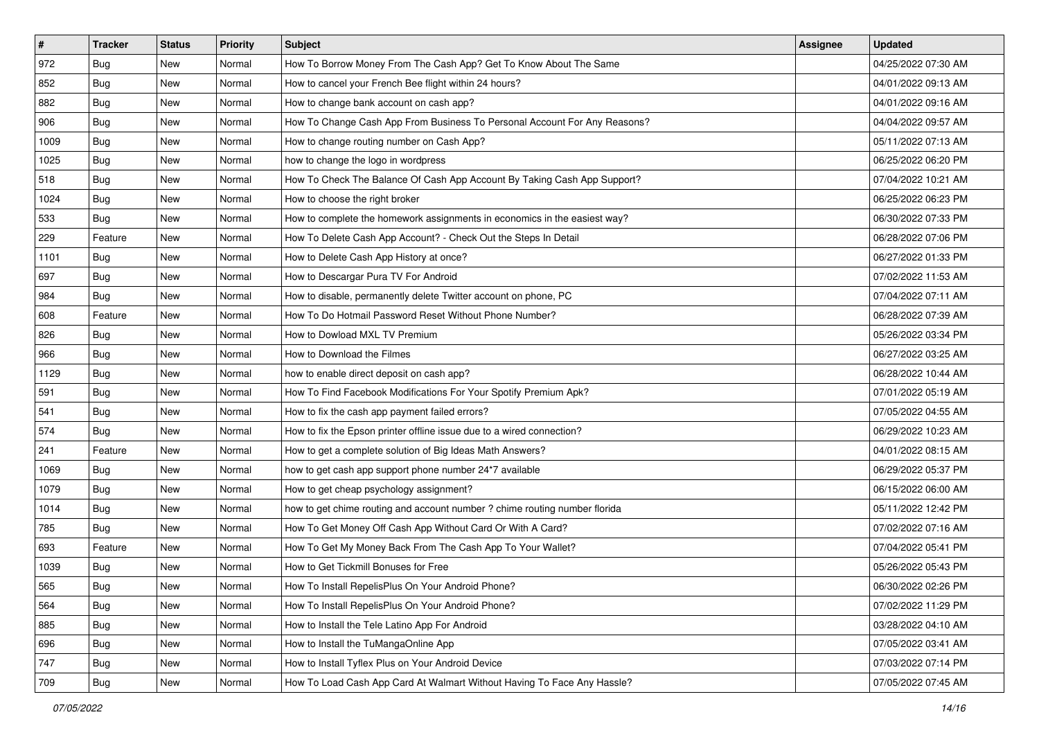| $\sharp$ | Tracker    | <b>Status</b> | <b>Priority</b> | Subject                                                                    | <b>Assignee</b> | <b>Updated</b>      |
|----------|------------|---------------|-----------------|----------------------------------------------------------------------------|-----------------|---------------------|
| 972      | <b>Bug</b> | New           | Normal          | How To Borrow Money From The Cash App? Get To Know About The Same          |                 | 04/25/2022 07:30 AM |
| 852      | <b>Bug</b> | New           | Normal          | How to cancel your French Bee flight within 24 hours?                      |                 | 04/01/2022 09:13 AM |
| 882      | Bug        | New           | Normal          | How to change bank account on cash app?                                    |                 | 04/01/2022 09:16 AM |
| 906      | <b>Bug</b> | New           | Normal          | How To Change Cash App From Business To Personal Account For Any Reasons?  |                 | 04/04/2022 09:57 AM |
| 1009     | Bug        | New           | Normal          | How to change routing number on Cash App?                                  |                 | 05/11/2022 07:13 AM |
| 1025     | <b>Bug</b> | New           | Normal          | how to change the logo in wordpress                                        |                 | 06/25/2022 06:20 PM |
| 518      | Bug        | New           | Normal          | How To Check The Balance Of Cash App Account By Taking Cash App Support?   |                 | 07/04/2022 10:21 AM |
| 1024     | <b>Bug</b> | New           | Normal          | How to choose the right broker                                             |                 | 06/25/2022 06:23 PM |
| 533      | <b>Bug</b> | New           | Normal          | How to complete the homework assignments in economics in the easiest way?  |                 | 06/30/2022 07:33 PM |
| 229      | Feature    | New           | Normal          | How To Delete Cash App Account? - Check Out the Steps In Detail            |                 | 06/28/2022 07:06 PM |
| 1101     | <b>Bug</b> | New           | Normal          | How to Delete Cash App History at once?                                    |                 | 06/27/2022 01:33 PM |
| 697      | <b>Bug</b> | New           | Normal          | How to Descargar Pura TV For Android                                       |                 | 07/02/2022 11:53 AM |
| 984      | <b>Bug</b> | New           | Normal          | How to disable, permanently delete Twitter account on phone, PC            |                 | 07/04/2022 07:11 AM |
| 608      | Feature    | New           | Normal          | How To Do Hotmail Password Reset Without Phone Number?                     |                 | 06/28/2022 07:39 AM |
| 826      | <b>Bug</b> | New           | Normal          | How to Dowload MXL TV Premium                                              |                 | 05/26/2022 03:34 PM |
| 966      | <b>Bug</b> | New           | Normal          | How to Download the Filmes                                                 |                 | 06/27/2022 03:25 AM |
| 1129     | <b>Bug</b> | New           | Normal          | how to enable direct deposit on cash app?                                  |                 | 06/28/2022 10:44 AM |
| 591      | Bug        | New           | Normal          | How To Find Facebook Modifications For Your Spotify Premium Apk?           |                 | 07/01/2022 05:19 AM |
| 541      | <b>Bug</b> | New           | Normal          | How to fix the cash app payment failed errors?                             |                 | 07/05/2022 04:55 AM |
| 574      | <b>Bug</b> | New           | Normal          | How to fix the Epson printer offline issue due to a wired connection?      |                 | 06/29/2022 10:23 AM |
| 241      | Feature    | New           | Normal          | How to get a complete solution of Big Ideas Math Answers?                  |                 | 04/01/2022 08:15 AM |
| 1069     | <b>Bug</b> | New           | Normal          | how to get cash app support phone number 24*7 available                    |                 | 06/29/2022 05:37 PM |
| 1079     | Bug        | New           | Normal          | How to get cheap psychology assignment?                                    |                 | 06/15/2022 06:00 AM |
| 1014     | <b>Bug</b> | New           | Normal          | how to get chime routing and account number ? chime routing number florida |                 | 05/11/2022 12:42 PM |
| 785      | Bug        | New           | Normal          | How To Get Money Off Cash App Without Card Or With A Card?                 |                 | 07/02/2022 07:16 AM |
| 693      | Feature    | New           | Normal          | How To Get My Money Back From The Cash App To Your Wallet?                 |                 | 07/04/2022 05:41 PM |
| 1039     | <b>Bug</b> | New           | Normal          | How to Get Tickmill Bonuses for Free                                       |                 | 05/26/2022 05:43 PM |
| 565      | <b>Bug</b> | New           | Normal          | How To Install RepelisPlus On Your Android Phone?                          |                 | 06/30/2022 02:26 PM |
| 564      | <b>Bug</b> | New           | Normal          | How To Install RepelisPlus On Your Android Phone?                          |                 | 07/02/2022 11:29 PM |
| 885      | Bug        | New           | Normal          | How to Install the Tele Latino App For Android                             |                 | 03/28/2022 04:10 AM |
| 696      | Bug        | New           | Normal          | How to Install the TuMangaOnline App                                       |                 | 07/05/2022 03:41 AM |
| 747      | <b>Bug</b> | New           | Normal          | How to Install Tyflex Plus on Your Android Device                          |                 | 07/03/2022 07:14 PM |
| 709      | <b>Bug</b> | New           | Normal          | How To Load Cash App Card At Walmart Without Having To Face Any Hassle?    |                 | 07/05/2022 07:45 AM |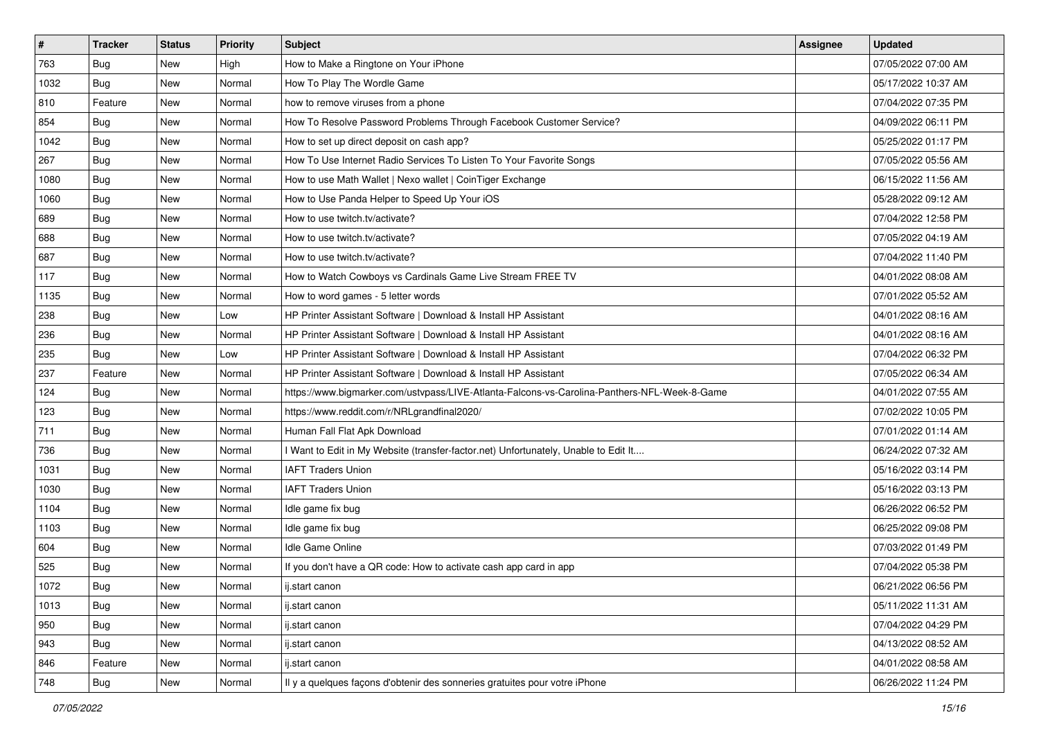| $\vert$ # | <b>Tracker</b> | <b>Status</b> | <b>Priority</b> | Subject                                                                                      | Assignee | <b>Updated</b>      |
|-----------|----------------|---------------|-----------------|----------------------------------------------------------------------------------------------|----------|---------------------|
| 763       | <b>Bug</b>     | New           | High            | How to Make a Ringtone on Your iPhone                                                        |          | 07/05/2022 07:00 AM |
| 1032      | Bug            | New           | Normal          | How To Play The Wordle Game                                                                  |          | 05/17/2022 10:37 AM |
| 810       | Feature        | New           | Normal          | how to remove viruses from a phone                                                           |          | 07/04/2022 07:35 PM |
| 854       | Bug            | New           | Normal          | How To Resolve Password Problems Through Facebook Customer Service?                          |          | 04/09/2022 06:11 PM |
| 1042      | Bug            | New           | Normal          | How to set up direct deposit on cash app?                                                    |          | 05/25/2022 01:17 PM |
| 267       | Bug            | New           | Normal          | How To Use Internet Radio Services To Listen To Your Favorite Songs                          |          | 07/05/2022 05:56 AM |
| 1080      | Bug            | New           | Normal          | How to use Math Wallet   Nexo wallet   CoinTiger Exchange                                    |          | 06/15/2022 11:56 AM |
| 1060      | Bug            | New           | Normal          | How to Use Panda Helper to Speed Up Your iOS                                                 |          | 05/28/2022 09:12 AM |
| 689       | Bug            | New           | Normal          | How to use twitch.tv/activate?                                                               |          | 07/04/2022 12:58 PM |
| 688       | Bug            | New           | Normal          | How to use twitch.tv/activate?                                                               |          | 07/05/2022 04:19 AM |
| 687       | <b>Bug</b>     | New           | Normal          | How to use twitch.tv/activate?                                                               |          | 07/04/2022 11:40 PM |
| 117       | Bug            | New           | Normal          | How to Watch Cowboys vs Cardinals Game Live Stream FREE TV                                   |          | 04/01/2022 08:08 AM |
| 1135      | Bug            | New           | Normal          | How to word games - 5 letter words                                                           |          | 07/01/2022 05:52 AM |
| 238       | <b>Bug</b>     | New           | Low             | HP Printer Assistant Software   Download & Install HP Assistant                              |          | 04/01/2022 08:16 AM |
| 236       | Bug            | <b>New</b>    | Normal          | HP Printer Assistant Software   Download & Install HP Assistant                              |          | 04/01/2022 08:16 AM |
| 235       | Bug            | New           | Low             | HP Printer Assistant Software   Download & Install HP Assistant                              |          | 07/04/2022 06:32 PM |
| 237       | Feature        | New           | Normal          | HP Printer Assistant Software   Download & Install HP Assistant                              |          | 07/05/2022 06:34 AM |
| 124       | <b>Bug</b>     | New           | Normal          | https://www.bigmarker.com/ustvpass/LIVE-Atlanta-Falcons-vs-Carolina-Panthers-NFL-Week-8-Game |          | 04/01/2022 07:55 AM |
| 123       | <b>Bug</b>     | New           | Normal          | https://www.reddit.com/r/NRLgrandfinal2020/                                                  |          | 07/02/2022 10:05 PM |
| 711       | <b>Bug</b>     | New           | Normal          | Human Fall Flat Apk Download                                                                 |          | 07/01/2022 01:14 AM |
| 736       | Bug            | New           | Normal          | I Want to Edit in My Website (transfer-factor.net) Unfortunately, Unable to Edit It          |          | 06/24/2022 07:32 AM |
| 1031      | Bug            | New           | Normal          | <b>IAFT Traders Union</b>                                                                    |          | 05/16/2022 03:14 PM |
| 1030      | Bug            | New           | Normal          | <b>IAFT Traders Union</b>                                                                    |          | 05/16/2022 03:13 PM |
| 1104      | <b>Bug</b>     | New           | Normal          | Idle game fix bug                                                                            |          | 06/26/2022 06:52 PM |
| 1103      | <b>Bug</b>     | New           | Normal          | Idle game fix bug                                                                            |          | 06/25/2022 09:08 PM |
| 604       | Bug            | New           | Normal          | Idle Game Online                                                                             |          | 07/03/2022 01:49 PM |
| 525       | <b>Bug</b>     | New           | Normal          | If you don't have a QR code: How to activate cash app card in app                            |          | 07/04/2022 05:38 PM |
| 1072      | <b>Bug</b>     | New           | Normal          | ij.start canon                                                                               |          | 06/21/2022 06:56 PM |
| 1013      | <b>Bug</b>     | New           | Normal          | ij.start canon                                                                               |          | 05/11/2022 11:31 AM |
| 950       | Bug            | New           | Normal          | ij.start canon                                                                               |          | 07/04/2022 04:29 PM |
| 943       | Bug            | New           | Normal          | ij.start canon                                                                               |          | 04/13/2022 08:52 AM |
| 846       | Feature        | New           | Normal          | ij.start canon                                                                               |          | 04/01/2022 08:58 AM |
| 748       | <b>Bug</b>     | New           | Normal          | Il y a quelques façons d'obtenir des sonneries gratuites pour votre iPhone                   |          | 06/26/2022 11:24 PM |